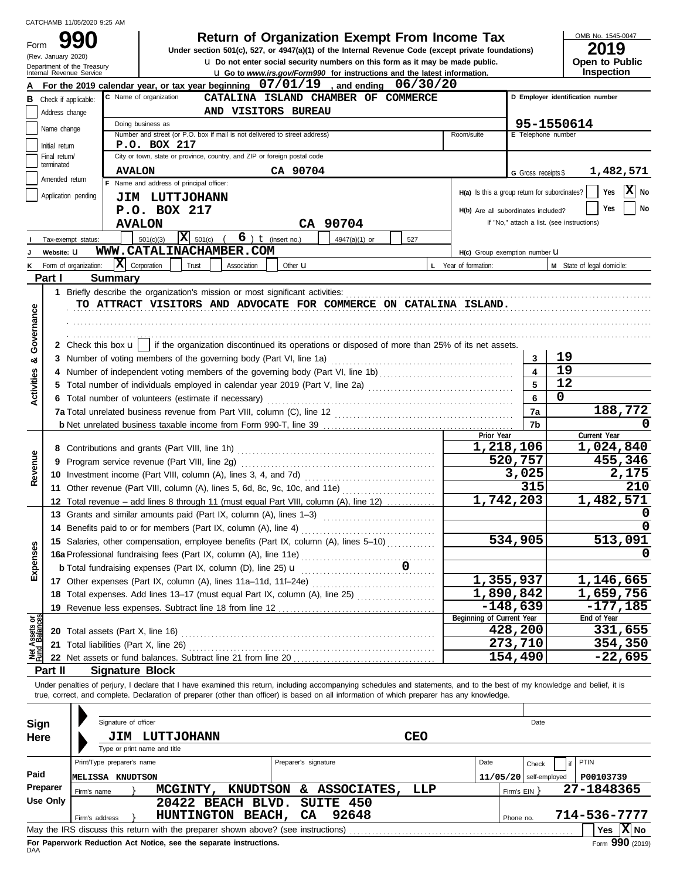|                              |                                                                                                      | CATCHAMB 11/05/2020 9:25 AM                                                                                                                                         |                              |                                                                                                    |                        |                      |                                                                                      |            |                      |            |                                               |                                                                                                                                                                            |           |
|------------------------------|------------------------------------------------------------------------------------------------------|---------------------------------------------------------------------------------------------------------------------------------------------------------------------|------------------------------|----------------------------------------------------------------------------------------------------|------------------------|----------------------|--------------------------------------------------------------------------------------|------------|----------------------|------------|-----------------------------------------------|----------------------------------------------------------------------------------------------------------------------------------------------------------------------------|-----------|
| Form                         |                                                                                                      |                                                                                                                                                                     |                              |                                                                                                    |                        |                      | <b>Return of Organization Exempt From Income Tax</b>                                 |            |                      |            |                                               | OMB No. 1545-0047<br>2019                                                                                                                                                  |           |
|                              | (Rev. January 2020)                                                                                  |                                                                                                                                                                     |                              | Under section 501(c), 527, or 4947(a)(1) of the Internal Revenue Code (except private foundations) |                        |                      | <b>u</b> Do not enter social security numbers on this form as it may be made public. |            |                      |            |                                               | Open to Public                                                                                                                                                             |           |
|                              |                                                                                                      | Department of the Treasury<br>Internal Revenue Service                                                                                                              |                              |                                                                                                    |                        |                      | <b>u</b> Go to www.irs.gov/Form990 for instructions and the latest information.      |            |                      |            |                                               | <b>Inspection</b>                                                                                                                                                          |           |
|                              |                                                                                                      | For the 2019 calendar year, or tax year beginning $07/01/19$ , and ending $06/30/20$                                                                                | C Name of organization       |                                                                                                    |                        |                      |                                                                                      |            |                      |            |                                               |                                                                                                                                                                            |           |
| В                            | CATALINA ISLAND CHAMBER OF COMMERCE<br>Check if applicable:<br>AND VISITORS BUREAU<br>Address change |                                                                                                                                                                     |                              |                                                                                                    |                        |                      |                                                                                      |            |                      |            | D Employer identification number              |                                                                                                                                                                            |           |
|                              |                                                                                                      |                                                                                                                                                                     | Doing business as            |                                                                                                    |                        |                      |                                                                                      |            |                      |            |                                               | 95-1550614                                                                                                                                                                 |           |
|                              | Name change                                                                                          |                                                                                                                                                                     |                              | Number and street (or P.O. box if mail is not delivered to street address)                         |                        |                      |                                                                                      |            | Room/suite           |            | E Telephone number                            |                                                                                                                                                                            |           |
|                              | Initial return<br>Final return/                                                                      |                                                                                                                                                                     | P.O. BOX 217                 | City or town, state or province, country, and ZIP or foreign postal code                           |                        |                      |                                                                                      |            |                      |            |                                               |                                                                                                                                                                            |           |
|                              | terminated                                                                                           |                                                                                                                                                                     | <b>AVALON</b>                |                                                                                                    |                        | CA 90704             |                                                                                      |            |                      |            | G Gross receipts \$                           | 1,482,571                                                                                                                                                                  |           |
|                              | Amended return                                                                                       |                                                                                                                                                                     |                              | F Name and address of principal officer:                                                           |                        |                      |                                                                                      |            |                      |            |                                               |                                                                                                                                                                            |           |
|                              |                                                                                                      | Application pending                                                                                                                                                 |                              | <b>JIM LUTTJOHANN</b>                                                                              |                        |                      |                                                                                      |            |                      |            | H(a) Is this a group return for subordinates? | Yes                                                                                                                                                                        | X<br>No   |
|                              |                                                                                                      |                                                                                                                                                                     | P.O. BOX 217                 |                                                                                                    |                        |                      |                                                                                      |            |                      |            | H(b) Are all subordinates included?           | Yes                                                                                                                                                                        | <b>No</b> |
|                              |                                                                                                      |                                                                                                                                                                     | <b>AVALON</b>                |                                                                                                    |                        |                      | CA 90704                                                                             |            |                      |            |                                               | If "No," attach a list. (see instructions)                                                                                                                                 |           |
|                              |                                                                                                      | Tax-exempt status:                                                                                                                                                  | 501(c)(3)                    | $\overline{\mathbf{X}}$ 501(c)                                                                     | $6$ ) $t$ (insert no.) |                      | 4947(a)(1) or                                                                        | 527        |                      |            |                                               |                                                                                                                                                                            |           |
|                              | Website: U                                                                                           |                                                                                                                                                                     |                              | WWW.CATALINACHAMBER.COM                                                                            |                        |                      |                                                                                      |            |                      |            | H(c) Group exemption number U                 |                                                                                                                                                                            |           |
|                              |                                                                                                      | x <br>Form of organization:                                                                                                                                         | Corporation                  | Trust                                                                                              | Association            | Other <b>u</b>       |                                                                                      |            | L Year of formation: |            |                                               | M State of legal domicile:                                                                                                                                                 |           |
|                              | Part I                                                                                               | <b>Summary</b><br>1 Briefly describe the organization's mission or most significant activities:                                                                     |                              |                                                                                                    |                        |                      |                                                                                      |            |                      |            |                                               |                                                                                                                                                                            |           |
|                              |                                                                                                      |                                                                                                                                                                     |                              | TO ATTRACT VISITORS AND ADVOCATE FOR COMMERCE ON CATALINA ISLAND.                                  |                        |                      |                                                                                      |            |                      |            |                                               |                                                                                                                                                                            |           |
| Governance                   |                                                                                                      |                                                                                                                                                                     |                              |                                                                                                    |                        |                      |                                                                                      |            |                      |            |                                               |                                                                                                                                                                            |           |
|                              |                                                                                                      |                                                                                                                                                                     |                              |                                                                                                    |                        |                      |                                                                                      |            |                      |            |                                               |                                                                                                                                                                            |           |
|                              |                                                                                                      | 2 Check this box $\mathbf{u}$   if the organization discontinued its operations or disposed of more than 25% of its net assets.                                     |                              |                                                                                                    |                        |                      |                                                                                      |            |                      |            |                                               |                                                                                                                                                                            |           |
| ಯ                            |                                                                                                      | 3 Number of voting members of the governing body (Part VI, line 1a)                                                                                                 |                              |                                                                                                    |                        |                      |                                                                                      |            |                      |            | 3                                             | 19                                                                                                                                                                         |           |
|                              |                                                                                                      | 4 Number of independent voting members of the governing body (Part VI, line 1b)<br>1. Number of independent voting members of the governing body (Part VI, line 1b) |                              |                                                                                                    |                        |                      |                                                                                      |            |                      |            | $\overline{\mathbf{4}}$                       | 19                                                                                                                                                                         |           |
| Activities                   |                                                                                                      |                                                                                                                                                                     |                              |                                                                                                    |                        |                      | 5                                                                                    | 12         |                      |            |                                               |                                                                                                                                                                            |           |
|                              |                                                                                                      | 6 Total number of volunteers (estimate if necessary)                                                                                                                |                              |                                                                                                    |                        |                      |                                                                                      |            |                      |            | $6\phantom{a}$                                | 0                                                                                                                                                                          |           |
|                              |                                                                                                      |                                                                                                                                                                     |                              |                                                                                                    |                        |                      |                                                                                      |            |                      |            | 7a<br>7b                                      | 188,772                                                                                                                                                                    | 0         |
|                              |                                                                                                      |                                                                                                                                                                     |                              |                                                                                                    |                        |                      |                                                                                      |            |                      | Prior Year |                                               | Current Year                                                                                                                                                               |           |
|                              |                                                                                                      |                                                                                                                                                                     |                              |                                                                                                    |                        |                      |                                                                                      |            |                      |            | 1,218,106                                     | 1,024,840                                                                                                                                                                  |           |
|                              |                                                                                                      |                                                                                                                                                                     |                              |                                                                                                    |                        |                      |                                                                                      |            |                      |            | 520,757                                       | 455,346                                                                                                                                                                    |           |
| Revenue                      |                                                                                                      |                                                                                                                                                                     |                              |                                                                                                    |                        |                      |                                                                                      |            |                      |            | 3,025                                         |                                                                                                                                                                            | 2,175     |
|                              |                                                                                                      | 11 Other revenue (Part VIII, column (A), lines 5, 6d, 8c, 9c, 10c, and 11e)                                                                                         |                              |                                                                                                    |                        |                      |                                                                                      |            |                      |            | 315<br>$\overline{1,}742,203$                 |                                                                                                                                                                            | 210       |
|                              |                                                                                                      | 12 Total revenue - add lines 8 through 11 (must equal Part VIII, column (A), line 12)                                                                               |                              |                                                                                                    |                        |                      |                                                                                      |            |                      |            |                                               | 1,482,571                                                                                                                                                                  | 0         |
|                              |                                                                                                      | 14 Benefits paid to or for members (Part IX, column (A), line 4)                                                                                                    |                              |                                                                                                    |                        |                      |                                                                                      |            |                      |            |                                               |                                                                                                                                                                            | 0         |
|                              |                                                                                                      | 15 Salaries, other compensation, employee benefits (Part IX, column (A), lines 5-10)                                                                                |                              |                                                                                                    |                        |                      |                                                                                      |            |                      |            | 534,905                                       | 513,091                                                                                                                                                                    |           |
| Expenses                     |                                                                                                      |                                                                                                                                                                     |                              |                                                                                                    |                        |                      |                                                                                      |            |                      |            |                                               |                                                                                                                                                                            | 0         |
|                              |                                                                                                      |                                                                                                                                                                     |                              |                                                                                                    |                        |                      |                                                                                      |            |                      |            |                                               |                                                                                                                                                                            |           |
|                              |                                                                                                      | 17 Other expenses (Part IX, column (A), lines 11a-11d, 11f-24e)                                                                                                     |                              |                                                                                                    |                        |                      |                                                                                      |            |                      |            | 1,355,937                                     | 1,146,665                                                                                                                                                                  |           |
|                              |                                                                                                      | 18 Total expenses. Add lines 13-17 (must equal Part IX, column (A), line 25)                                                                                        |                              |                                                                                                    |                        |                      |                                                                                      |            |                      |            | 1,890,842                                     | 1,659,756                                                                                                                                                                  |           |
| $rac{\text{or}}{\text{cos}}$ |                                                                                                      | 19 Revenue less expenses. Subtract line 18 from line 12                                                                                                             |                              |                                                                                                    |                        |                      |                                                                                      |            |                      |            | $-148,639$<br>Beginning of Current Year       | $-177,185$<br>End of Year                                                                                                                                                  |           |
|                              |                                                                                                      | 20 Total assets (Part X, line 16)                                                                                                                                   |                              |                                                                                                    |                        |                      |                                                                                      |            |                      |            | 428,200                                       | 331,655                                                                                                                                                                    |           |
| Net Assets                   |                                                                                                      | 21 Total liabilities (Part X, line 26)                                                                                                                              |                              |                                                                                                    |                        |                      |                                                                                      |            |                      |            | 273,710                                       | 354,350                                                                                                                                                                    |           |
|                              |                                                                                                      |                                                                                                                                                                     |                              |                                                                                                    |                        |                      |                                                                                      |            |                      |            | 154,490                                       | $-22,695$                                                                                                                                                                  |           |
|                              | Part II                                                                                              | <b>Signature Block</b>                                                                                                                                              |                              |                                                                                                    |                        |                      |                                                                                      |            |                      |            |                                               |                                                                                                                                                                            |           |
|                              |                                                                                                      | true, correct, and complete. Declaration of preparer (other than officer) is based on all information of which preparer has any knowledge.                          |                              |                                                                                                    |                        |                      |                                                                                      |            |                      |            |                                               | Under penalties of perjury, I declare that I have examined this return, including accompanying schedules and statements, and to the best of my knowledge and belief, it is |           |
|                              |                                                                                                      |                                                                                                                                                                     |                              |                                                                                                    |                        |                      |                                                                                      |            |                      |            |                                               |                                                                                                                                                                            |           |
| <b>Sign</b>                  |                                                                                                      | Signature of officer                                                                                                                                                |                              |                                                                                                    |                        |                      |                                                                                      |            |                      |            | Date                                          |                                                                                                                                                                            |           |
| Here                         |                                                                                                      |                                                                                                                                                                     |                              | <b>JIM LUTTJOHANN</b>                                                                              |                        |                      |                                                                                      | <b>CEO</b> |                      |            |                                               |                                                                                                                                                                            |           |
|                              |                                                                                                      |                                                                                                                                                                     | Type or print name and title |                                                                                                    |                        |                      |                                                                                      |            |                      |            |                                               |                                                                                                                                                                            |           |
|                              |                                                                                                      | Print/Type preparer's name                                                                                                                                          |                              |                                                                                                    |                        | Preparer's signature |                                                                                      |            |                      | Date       | Check                                         | PTIN<br>if                                                                                                                                                                 |           |
| Paid                         |                                                                                                      | <b>MELISSA KNUDTSON</b>                                                                                                                                             |                              |                                                                                                    |                        |                      |                                                                                      |            |                      |            | $11/05/20$ self-employed                      | P00103739                                                                                                                                                                  |           |
|                              | Preparer                                                                                             | Firm's name                                                                                                                                                         |                              | MCGINTY, KNUDTSON & ASSOCIATES,                                                                    |                        |                      |                                                                                      | LLP        |                      |            | Firm's $EIN$ }                                | 27-1848365                                                                                                                                                                 |           |
|                              | <b>Use Only</b>                                                                                      |                                                                                                                                                                     |                              | 20422 BEACH BLVD.                                                                                  |                        |                      | SUITE 450                                                                            |            |                      |            |                                               |                                                                                                                                                                            |           |
|                              |                                                                                                      | Firm's address                                                                                                                                                      |                              | HUNTINGTON BEACH,                                                                                  |                        | CA                   | 92648                                                                                |            |                      |            | Phone no.                                     | 714-536-7777<br>Yes $ X $ No                                                                                                                                               |           |
|                              |                                                                                                      |                                                                                                                                                                     |                              |                                                                                                    |                        |                      |                                                                                      |            |                      |            |                                               |                                                                                                                                                                            |           |

| Sign            | Signature of officer                                                                                       |                              |                      |           | Date                       |  |  |  |  |
|-----------------|------------------------------------------------------------------------------------------------------------|------------------------------|----------------------|-----------|----------------------------|--|--|--|--|
| Here            | JIM                                                                                                        | LUTTJOHANN                   | <b>CEO</b>           |           |                            |  |  |  |  |
|                 |                                                                                                            | Type or print name and title |                      |           |                            |  |  |  |  |
|                 | Print/Type preparer's name                                                                                 |                              | Preparer's signature | Date      | PTIN<br>Check              |  |  |  |  |
| Paid            | <b>MELISSA</b><br>KNUDTSON                                                                                 |                              |                      | 11/05/20  | self-employed<br>P00103739 |  |  |  |  |
| <b>Preparer</b> | Firm's name                                                                                                | KNUDTSON<br>MCGINTY,         | & ASSOCIATES,<br>LLP |           | 27-1848365<br>Firm's $EIN$ |  |  |  |  |
| Use Only        |                                                                                                            | 20422 BEACH BLVD. SUITE 450  |                      |           |                            |  |  |  |  |
|                 | Firm's address                                                                                             | BEACH,<br><b>HUNTINGTON</b>  | 92648<br>CA.         | Phone no. | 714-536-7777               |  |  |  |  |
|                 | Yes $\overline{X}$ No<br>May the IRS discuss this return with the preparer shown above? (see instructions) |                              |                      |           |                            |  |  |  |  |
| <b>DAA</b>      | Form 990 (2019)<br>For Paperwork Reduction Act Notice, see the separate instructions.                      |                              |                      |           |                            |  |  |  |  |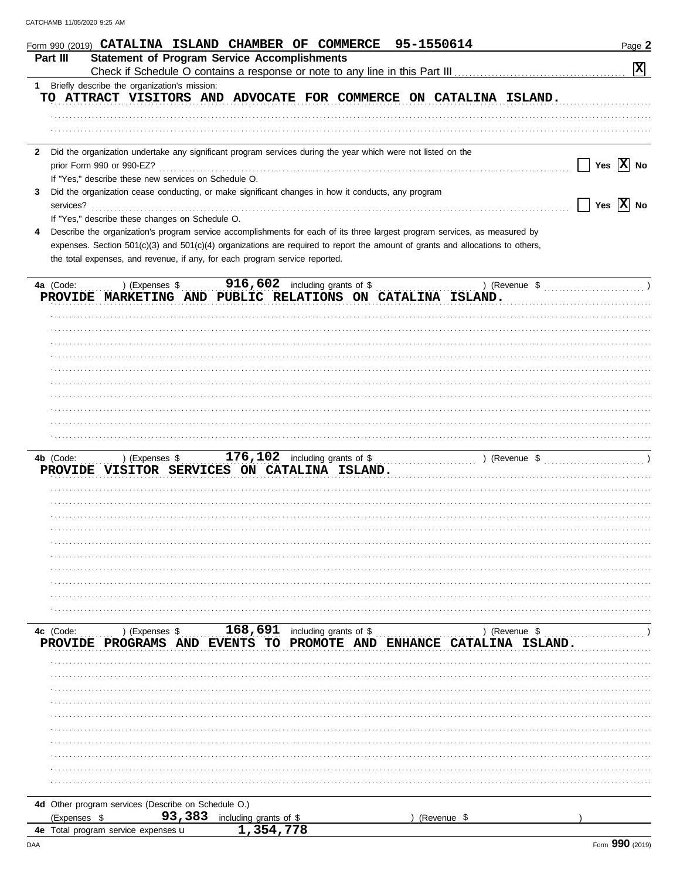|    | 95-1550614<br>Form 990 (2019) CATALINA ISLAND CHAMBER OF COMMERCE                                                              | Page 2                                                                                                    |
|----|--------------------------------------------------------------------------------------------------------------------------------|-----------------------------------------------------------------------------------------------------------|
|    | <b>Statement of Program Service Accomplishments</b><br>Part III                                                                |                                                                                                           |
|    |                                                                                                                                | $\boxed{\mathbf{x}}$                                                                                      |
| 1. | Briefly describe the organization's mission:                                                                                   |                                                                                                           |
|    | TO ATTRACT VISITORS AND ADVOCATE FOR COMMERCE ON CATALINA ISLAND.                                                              |                                                                                                           |
|    |                                                                                                                                |                                                                                                           |
|    |                                                                                                                                |                                                                                                           |
|    |                                                                                                                                |                                                                                                           |
|    | 2 Did the organization undertake any significant program services during the year which were not listed on the                 |                                                                                                           |
|    |                                                                                                                                | $\begin{array}{ c c c } \hline \end{array}$ Yes $\begin{array}{ c c c } \hline X & \text{No} \end{array}$ |
|    | If "Yes," describe these new services on Schedule O.                                                                           |                                                                                                           |
| 3  | Did the organization cease conducting, or make significant changes in how it conducts, any program                             |                                                                                                           |
|    | services?                                                                                                                      | $\vert$   Yes $\vert$ X $\vert$ No                                                                        |
|    | If "Yes," describe these changes on Schedule O.                                                                                |                                                                                                           |
| 4  | Describe the organization's program service accomplishments for each of its three largest program services, as measured by     |                                                                                                           |
|    | expenses. Section 501(c)(3) and 501(c)(4) organizations are required to report the amount of grants and allocations to others, |                                                                                                           |
|    | the total expenses, and revenue, if any, for each program service reported.                                                    |                                                                                                           |
|    |                                                                                                                                |                                                                                                           |
|    | $916,602$ including grants of \$<br>4a (Code:<br>) (Expenses \$                                                                | ) (Revenue $\frac{1}{2}$ (Revenue $\frac{1}{2}$ (Revenue $\frac{1}{2}$                                    |
|    | PROVIDE MARKETING AND PUBLIC RELATIONS ON CATALINA ISLAND.                                                                     |                                                                                                           |
|    |                                                                                                                                |                                                                                                           |
|    |                                                                                                                                |                                                                                                           |
|    |                                                                                                                                |                                                                                                           |
|    |                                                                                                                                |                                                                                                           |
|    |                                                                                                                                |                                                                                                           |
|    |                                                                                                                                |                                                                                                           |
|    |                                                                                                                                |                                                                                                           |
|    |                                                                                                                                |                                                                                                           |
|    |                                                                                                                                |                                                                                                           |
|    |                                                                                                                                |                                                                                                           |
|    |                                                                                                                                |                                                                                                           |
|    |                                                                                                                                |                                                                                                           |
|    | ) (Expenses \$<br>4b (Code:                                                                                                    |                                                                                                           |
|    | PROVIDE VISITOR SERVICES ON CATALINA ISLAND.                                                                                   |                                                                                                           |
|    |                                                                                                                                |                                                                                                           |
|    |                                                                                                                                |                                                                                                           |
|    |                                                                                                                                |                                                                                                           |
|    |                                                                                                                                |                                                                                                           |
|    |                                                                                                                                |                                                                                                           |
|    |                                                                                                                                |                                                                                                           |
|    |                                                                                                                                |                                                                                                           |
|    |                                                                                                                                |                                                                                                           |
|    |                                                                                                                                |                                                                                                           |
|    |                                                                                                                                |                                                                                                           |
|    |                                                                                                                                |                                                                                                           |
|    | $168, 691$ including grants of \$<br>) (Expenses \$<br>) (Revenue \$<br>4c (Code:                                              |                                                                                                           |
|    | PROGRAMS AND EVENTS TO PROMOTE AND ENHANCE CATALINA ISLAND.<br><b>PROVIDE</b>                                                  |                                                                                                           |
|    |                                                                                                                                |                                                                                                           |
|    |                                                                                                                                |                                                                                                           |
|    |                                                                                                                                |                                                                                                           |
|    |                                                                                                                                |                                                                                                           |
|    |                                                                                                                                |                                                                                                           |
|    |                                                                                                                                |                                                                                                           |
|    |                                                                                                                                |                                                                                                           |
|    |                                                                                                                                |                                                                                                           |
|    |                                                                                                                                |                                                                                                           |
|    |                                                                                                                                |                                                                                                           |
|    |                                                                                                                                |                                                                                                           |
|    | 4d Other program services (Describe on Schedule O.)                                                                            |                                                                                                           |
|    | 93,383<br>(Expenses \$<br>including grants of \$                                                                               |                                                                                                           |
|    | (Revenue \$<br>1,354,778<br>4e Total program service expenses u                                                                |                                                                                                           |
|    |                                                                                                                                |                                                                                                           |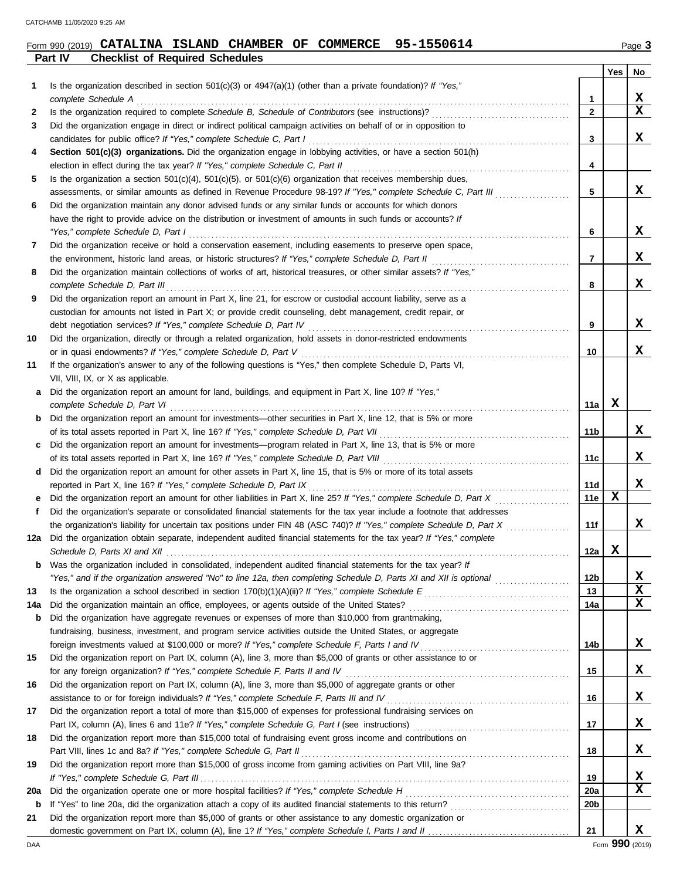**Part IV Checklist of Required Schedules**

### **Form 990 (2019) CATALINA ISLAND CHAMBER OF COMMERCE 95-1550614** Page 3

|--|--|--|

|     |                                                                                                                                                                                                                             |                | <b>Yes</b>  | No          |
|-----|-----------------------------------------------------------------------------------------------------------------------------------------------------------------------------------------------------------------------------|----------------|-------------|-------------|
| 1   | Is the organization described in section $501(c)(3)$ or $4947(a)(1)$ (other than a private foundation)? If "Yes,"                                                                                                           |                |             |             |
|     | complete Schedule A                                                                                                                                                                                                         | 1              |             | X           |
| 2   |                                                                                                                                                                                                                             | $\overline{2}$ |             | $\mathbf x$ |
| 3   | Did the organization engage in direct or indirect political campaign activities on behalf of or in opposition to                                                                                                            |                |             |             |
|     | candidates for public office? If "Yes," complete Schedule C, Part I                                                                                                                                                         | 3              |             | X           |
| 4   | Section 501(c)(3) organizations. Did the organization engage in lobbying activities, or have a section 501(h)                                                                                                               |                |             |             |
|     | election in effect during the tax year? If "Yes," complete Schedule C, Part II                                                                                                                                              | 4              |             |             |
| 5   | Is the organization a section $501(c)(4)$ , $501(c)(5)$ , or $501(c)(6)$ organization that receives membership dues,                                                                                                        |                |             |             |
|     | assessments, or similar amounts as defined in Revenue Procedure 98-19? If "Yes," complete Schedule C, Part III                                                                                                              | 5              |             | X           |
| 6   | Did the organization maintain any donor advised funds or any similar funds or accounts for which donors                                                                                                                     |                |             |             |
|     | have the right to provide advice on the distribution or investment of amounts in such funds or accounts? If                                                                                                                 |                |             | x           |
|     | "Yes," complete Schedule D, Part I                                                                                                                                                                                          | 6              |             |             |
| 7   | Did the organization receive or hold a conservation easement, including easements to preserve open space,                                                                                                                   | 7              |             | x           |
|     | the environment, historic land areas, or historic structures? If "Yes," complete Schedule D, Part II<br>Did the organization maintain collections of works of art, historical treasures, or other similar assets? If "Yes," |                |             |             |
| 8   | complete Schedule D, Part III                                                                                                                                                                                               | 8              |             | x           |
| 9   | Did the organization report an amount in Part X, line 21, for escrow or custodial account liability, serve as a                                                                                                             |                |             |             |
|     | custodian for amounts not listed in Part X; or provide credit counseling, debt management, credit repair, or                                                                                                                |                |             |             |
|     | debt negotiation services? If "Yes," complete Schedule D, Part IV                                                                                                                                                           | 9              |             | x           |
| 10  | Did the organization, directly or through a related organization, hold assets in donor-restricted endowments                                                                                                                |                |             |             |
|     | or in quasi endowments? If "Yes," complete Schedule D, Part V                                                                                                                                                               | 10             |             | X           |
| 11  | If the organization's answer to any of the following questions is "Yes," then complete Schedule D, Parts VI,                                                                                                                |                |             |             |
|     | VII, VIII, IX, or X as applicable.                                                                                                                                                                                          |                |             |             |
| а   | Did the organization report an amount for land, buildings, and equipment in Part X, line 10? If "Yes,"                                                                                                                      |                |             |             |
|     | complete Schedule D, Part VI                                                                                                                                                                                                | 11a            | X           |             |
| b   | Did the organization report an amount for investments-other securities in Part X, line 12, that is 5% or more                                                                                                               |                |             |             |
|     |                                                                                                                                                                                                                             | 11 b           |             | X.          |
| c   | Did the organization report an amount for investments—program related in Part X, line 13, that is 5% or more                                                                                                                |                |             |             |
|     |                                                                                                                                                                                                                             | 11c            |             | X.          |
| d   | Did the organization report an amount for other assets in Part X, line 15, that is 5% or more of its total assets                                                                                                           |                |             |             |
|     | reported in Part X, line 16? If "Yes," complete Schedule D, Part IX                                                                                                                                                         | 11d            |             | x           |
|     | Did the organization report an amount for other liabilities in Part X, line 25? If "Yes," complete Schedule D, Part X                                                                                                       | 11e            | $\mathbf X$ |             |
| f   | Did the organization's separate or consolidated financial statements for the tax year include a footnote that addresses                                                                                                     |                |             |             |
|     | the organization's liability for uncertain tax positions under FIN 48 (ASC 740)? If "Yes," complete Schedule D, Part X                                                                                                      | 11f            |             | x           |
| 12a | Did the organization obtain separate, independent audited financial statements for the tax year? If "Yes," complete                                                                                                         |                |             |             |
|     | Schedule D, Parts XI and XII                                                                                                                                                                                                | 12a            | X           |             |
|     | Was the organization included in consolidated, independent audited financial statements for the tax year? If                                                                                                                |                |             |             |
|     | "Yes," and if the organization answered "No" to line 12a, then completing Schedule D, Parts XI and XII is optional <i>mimimimim</i>                                                                                         | 12b            |             | X           |
| 13  |                                                                                                                                                                                                                             | 13             |             | X           |
| 14a |                                                                                                                                                                                                                             | 14a            |             | X           |
| b   | Did the organization have aggregate revenues or expenses of more than \$10,000 from grantmaking,                                                                                                                            |                |             |             |
|     | fundraising, business, investment, and program service activities outside the United States, or aggregate                                                                                                                   |                |             |             |
|     |                                                                                                                                                                                                                             | 14b            |             | x           |
| 15  | Did the organization report on Part IX, column (A), line 3, more than \$5,000 of grants or other assistance to or                                                                                                           |                |             |             |
|     | for any foreign organization? If "Yes," complete Schedule F, Parts II and IV                                                                                                                                                | 15             |             | X           |
| 16  | Did the organization report on Part IX, column (A), line 3, more than \$5,000 of aggregate grants or other                                                                                                                  |                |             |             |
|     | assistance to or for foreign individuals? If "Yes," complete Schedule F, Parts III and IV [[[[[[[[[[[[[[[[[[[                                                                                                               | 16             |             | X           |
| 17  | Did the organization report a total of more than \$15,000 of expenses for professional fundraising services on                                                                                                              |                |             |             |
|     |                                                                                                                                                                                                                             | 17             |             | X           |
| 18  | Did the organization report more than \$15,000 total of fundraising event gross income and contributions on                                                                                                                 |                |             |             |
|     |                                                                                                                                                                                                                             | 18             |             | X           |
| 19  | Did the organization report more than \$15,000 of gross income from gaming activities on Part VIII, line 9a?                                                                                                                |                |             |             |
|     |                                                                                                                                                                                                                             | 19             |             | X<br>x      |
| 20a |                                                                                                                                                                                                                             | 20a            |             |             |
| b   | Did the organization report more than \$5,000 of grants or other assistance to any domestic organization or                                                                                                                 | 20b            |             |             |
| 21  |                                                                                                                                                                                                                             | 21             |             | x           |
|     |                                                                                                                                                                                                                             |                |             |             |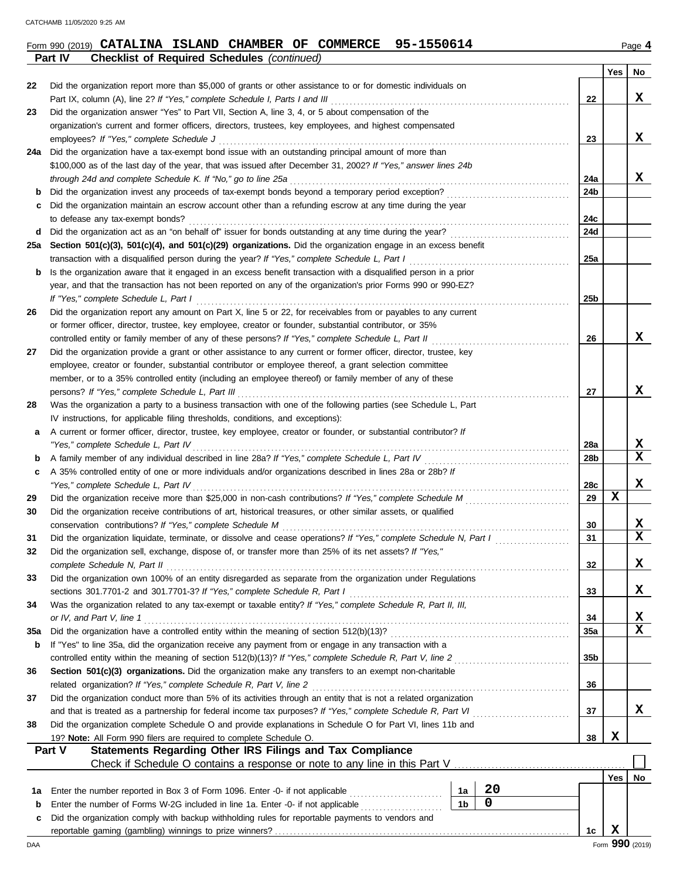| 95-1550614<br>\ ISLAND CHAMBER OF COMMERCE \<br>Form 990 (2019) <b>CATALINA</b> |  |  |  |  |  |  |  | Page 4 |
|---------------------------------------------------------------------------------|--|--|--|--|--|--|--|--------|
|---------------------------------------------------------------------------------|--|--|--|--|--|--|--|--------|

**Part IV Checklist of Required Schedules** *(continued)*

|     |                                                                                                                                                                                             |                |    |     | Yes | No               |
|-----|---------------------------------------------------------------------------------------------------------------------------------------------------------------------------------------------|----------------|----|-----|-----|------------------|
| 22  | Did the organization report more than \$5,000 of grants or other assistance to or for domestic individuals on                                                                               |                |    |     |     |                  |
|     | Part IX, column (A), line 2? If "Yes," complete Schedule I, Parts I and III                                                                                                                 |                |    | 22  |     | x                |
| 23  | Did the organization answer "Yes" to Part VII, Section A, line 3, 4, or 5 about compensation of the                                                                                         |                |    |     |     |                  |
|     | organization's current and former officers, directors, trustees, key employees, and highest compensated                                                                                     |                |    |     |     |                  |
|     | employees? If "Yes," complete Schedule J                                                                                                                                                    |                |    | 23  |     | x                |
| 24a | Did the organization have a tax-exempt bond issue with an outstanding principal amount of more than                                                                                         |                |    |     |     |                  |
|     | \$100,000 as of the last day of the year, that was issued after December 31, 2002? If "Yes," answer lines 24b                                                                               |                |    |     |     |                  |
|     | through 24d and complete Schedule K. If "No," go to line 25a                                                                                                                                |                |    | 24a |     | X                |
| b   |                                                                                                                                                                                             |                |    | 24b |     |                  |
| c   | Did the organization maintain an escrow account other than a refunding escrow at any time during the year<br>to defease any tax-exempt bonds?                                               |                |    | 24c |     |                  |
| d   |                                                                                                                                                                                             |                |    | 24d |     |                  |
| 25a | Section 501(c)(3), 501(c)(4), and 501(c)(29) organizations. Did the organization engage in an excess benefit                                                                                |                |    |     |     |                  |
|     | transaction with a disqualified person during the year? If "Yes," complete Schedule L, Part I                                                                                               |                |    | 25a |     |                  |
| b   | Is the organization aware that it engaged in an excess benefit transaction with a disqualified person in a prior                                                                            |                |    |     |     |                  |
|     | year, and that the transaction has not been reported on any of the organization's prior Forms 990 or 990-EZ?                                                                                |                |    |     |     |                  |
|     | If "Yes," complete Schedule L, Part I                                                                                                                                                       |                |    | 25b |     |                  |
| 26  | Did the organization report any amount on Part X, line 5 or 22, for receivables from or payables to any current                                                                             |                |    |     |     |                  |
|     | or former officer, director, trustee, key employee, creator or founder, substantial contributor, or 35%                                                                                     |                |    |     |     |                  |
|     | controlled entity or family member of any of these persons? If "Yes," complete Schedule L, Part II                                                                                          |                |    | 26  |     | x                |
| 27  | Did the organization provide a grant or other assistance to any current or former officer, director, trustee, key                                                                           |                |    |     |     |                  |
|     | employee, creator or founder, substantial contributor or employee thereof, a grant selection committee                                                                                      |                |    |     |     |                  |
|     | member, or to a 35% controlled entity (including an employee thereof) or family member of any of these                                                                                      |                |    |     |     |                  |
|     | persons? If "Yes," complete Schedule L, Part III                                                                                                                                            |                |    | 27  |     | x                |
| 28  | Was the organization a party to a business transaction with one of the following parties (see Schedule L, Part                                                                              |                |    |     |     |                  |
|     | IV instructions, for applicable filing thresholds, conditions, and exceptions):                                                                                                             |                |    |     |     |                  |
| a   | A current or former officer, director, trustee, key employee, creator or founder, or substantial contributor? If                                                                            |                |    |     |     |                  |
|     | "Yes," complete Schedule L, Part IV                                                                                                                                                         |                |    | 28a |     | X                |
| b   |                                                                                                                                                                                             |                |    | 28b |     | $\mathbf x$      |
| c   | A 35% controlled entity of one or more individuals and/or organizations described in lines 28a or 28b? If                                                                                   |                |    |     |     |                  |
|     | "Yes," complete Schedule L, Part IV                                                                                                                                                         |                |    | 28c |     | x                |
| 29  |                                                                                                                                                                                             |                |    | 29  | x   |                  |
| 30  | Did the organization receive contributions of art, historical treasures, or other similar assets, or qualified                                                                              |                |    |     |     |                  |
|     | conservation contributions? If "Yes," complete Schedule M                                                                                                                                   |                |    | 30  |     | X<br>$\mathbf x$ |
| 31  | Did the organization liquidate, terminate, or dissolve and cease operations? If "Yes," complete Schedule N, Part I                                                                          |                |    | 31  |     |                  |
| 32  | Did the organization sell, exchange, dispose of, or transfer more than 25% of its net assets? If "Yes,"                                                                                     |                |    |     |     | X                |
|     | complete Schedule N. Part II                                                                                                                                                                |                |    | 32  |     |                  |
| 33  | Did the organization own 100% of an entity disregarded as separate from the organization under Regulations                                                                                  |                |    |     |     | X                |
| 34  | sections 301.7701-2 and 301.7701-3? If "Yes," complete Schedule R, Part I<br>Was the organization related to any tax-exempt or taxable entity? If "Yes," complete Schedule R, Part II, III, |                |    | 33  |     |                  |
|     |                                                                                                                                                                                             |                |    | 34  |     | х                |
| 35a |                                                                                                                                                                                             |                |    | 35a |     | $\mathbf X$      |
| b   | If "Yes" to line 35a, did the organization receive any payment from or engage in any transaction with a                                                                                     |                |    |     |     |                  |
|     |                                                                                                                                                                                             |                |    | 35b |     |                  |
| 36  | Section 501(c)(3) organizations. Did the organization make any transfers to an exempt non-charitable                                                                                        |                |    |     |     |                  |
|     |                                                                                                                                                                                             |                |    | 36  |     |                  |
| 37  | Did the organization conduct more than 5% of its activities through an entity that is not a related organization                                                                            |                |    |     |     |                  |
|     |                                                                                                                                                                                             |                |    | 37  |     | X                |
| 38  | Did the organization complete Schedule O and provide explanations in Schedule O for Part VI, lines 11b and                                                                                  |                |    |     |     |                  |
|     | 19? Note: All Form 990 filers are required to complete Schedule O.                                                                                                                          |                |    | 38  | X   |                  |
|     | <b>Statements Regarding Other IRS Filings and Tax Compliance</b><br>Part V                                                                                                                  |                |    |     |     |                  |
|     | Check if Schedule O contains a response or note to any line in this Part V                                                                                                                  |                |    |     |     |                  |
|     |                                                                                                                                                                                             |                |    |     | Yes | No               |
| 1а  | Enter the number reported in Box 3 of Form 1096. Enter -0- if not applicable                                                                                                                | 1a             | 20 |     |     |                  |
| b   | Enter the number of Forms W-2G included in line 1a. Enter -0- if not applicable                                                                                                             | 1 <sub>b</sub> | 0  |     |     |                  |
| c   | Did the organization comply with backup withholding rules for reportable payments to vendors and                                                                                            |                |    |     |     |                  |
|     |                                                                                                                                                                                             |                |    | 1c  | X   |                  |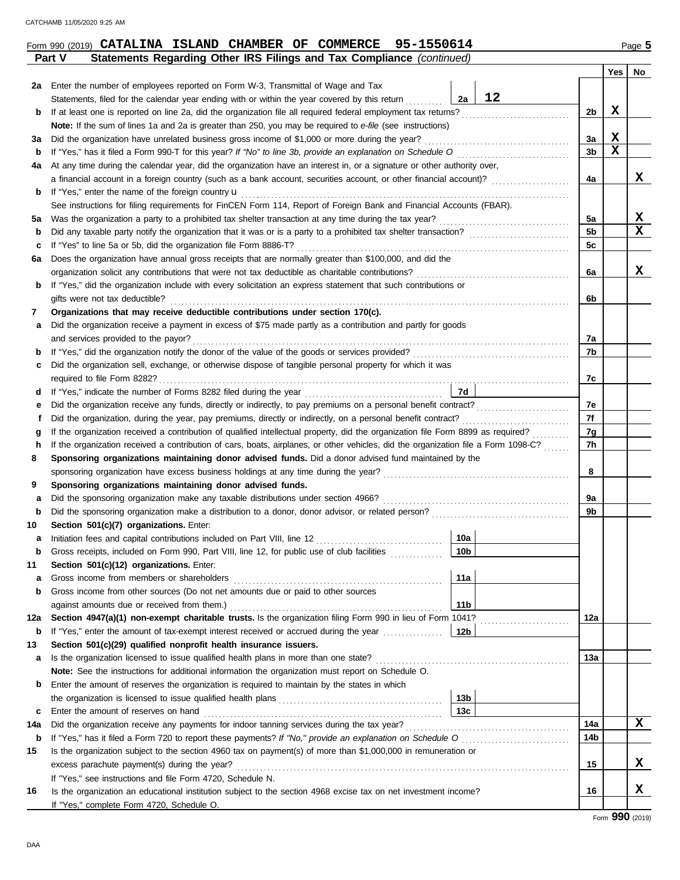|    | Form 990 (2019) CATALINA ISLAND CHAMBER OF COMMERCE 95-1550614                                                     |    |    |     | Page 5 |
|----|--------------------------------------------------------------------------------------------------------------------|----|----|-----|--------|
|    | Statements Regarding Other IRS Filings and Tax Compliance (continued)<br><b>Part V</b>                             |    |    |     |        |
|    |                                                                                                                    |    |    | Yes | No     |
| 2а | Enter the number of employees reported on Form W-3, Transmittal of Wage and Tax                                    |    |    |     |        |
|    | Statements, filed for the calendar year ending with or within the year covered by this return                      | 2a |    |     |        |
|    | 1. If at label the to consider the One did the consideration file all continual features considerate that continue |    | nL |     |        |

|     | Statements, filed for the calendar year ending with or within the year covered by this return                                           | 2a              | 12 |     |   |             |
|-----|-----------------------------------------------------------------------------------------------------------------------------------------|-----------------|----|-----|---|-------------|
| b   | If at least one is reported on line 2a, did the organization file all required federal employment tax returns?                          |                 |    | 2b  | X |             |
|     | Note: If the sum of lines 1a and 2a is greater than 250, you may be required to e-file (see instructions)                               |                 |    |     |   |             |
| За  | Did the organization have unrelated business gross income of \$1,000 or more during the year?                                           |                 |    | 3a  | X |             |
| b   |                                                                                                                                         |                 |    | 3b  | X |             |
| 4a  | At any time during the calendar year, did the organization have an interest in, or a signature or other authority over,                 |                 |    |     |   |             |
|     | a financial account in a foreign country (such as a bank account, securities account, or other financial account)?                      |                 |    | 4a  |   | X           |
| b   | If "Yes," enter the name of the foreign country <b>u</b>                                                                                |                 |    |     |   |             |
|     | See instructions for filing requirements for FinCEN Form 114, Report of Foreign Bank and Financial Accounts (FBAR).                     |                 |    |     |   |             |
| 5a  |                                                                                                                                         |                 |    | 5a  |   | X           |
| b   | Did any taxable party notify the organization that it was or is a party to a prohibited tax shelter transaction?                        |                 |    | 5b  |   | X           |
| c   | If "Yes" to line 5a or 5b, did the organization file Form 8886-T?                                                                       |                 |    | 5c  |   |             |
| 6а  | Does the organization have annual gross receipts that are normally greater than \$100,000, and did the                                  |                 |    |     |   |             |
|     | organization solicit any contributions that were not tax deductible as charitable contributions?                                        |                 |    | 6a  |   | X           |
| b   | If "Yes," did the organization include with every solicitation an express statement that such contributions or                          |                 |    |     |   |             |
|     | gifts were not tax deductible?                                                                                                          |                 |    | 6b  |   |             |
| 7   | Organizations that may receive deductible contributions under section 170(c).                                                           |                 |    |     |   |             |
| а   | Did the organization receive a payment in excess of \$75 made partly as a contribution and partly for goods                             |                 |    |     |   |             |
|     | and services provided to the payor?                                                                                                     |                 |    | 7a  |   |             |
| b   |                                                                                                                                         |                 |    | 7b  |   |             |
| c   | Did the organization sell, exchange, or otherwise dispose of tangible personal property for which it was                                |                 |    |     |   |             |
|     |                                                                                                                                         | 7d              |    | 7c  |   |             |
| d   |                                                                                                                                         |                 |    | 7e  |   |             |
|     | е<br>Did the organization, during the year, pay premiums, directly or indirectly, on a personal benefit contract?<br>f                  |                 |    |     |   |             |
|     | If the organization received a contribution of qualified intellectual property, did the organization file Form 8899 as required?        |                 |    |     |   |             |
| h   | g<br>If the organization received a contribution of cars, boats, airplanes, or other vehicles, did the organization file a Form 1098-C? |                 |    |     |   |             |
| 8   | Sponsoring organizations maintaining donor advised funds. Did a donor advised fund maintained by the                                    |                 |    | 7h  |   |             |
|     |                                                                                                                                         |                 |    | 8   |   |             |
| 9   | Sponsoring organizations maintaining donor advised funds.                                                                               |                 |    |     |   |             |
| а   | Did the sponsoring organization make any taxable distributions under section 4966?                                                      |                 |    | 9a  |   |             |
| b   | Did the sponsoring organization make a distribution to a donor, donor advisor, or related person?                                       |                 |    | 9b  |   |             |
| 10  | Section 501(c)(7) organizations. Enter:                                                                                                 |                 |    |     |   |             |
| а   | Initiation fees and capital contributions included on Part VIII, line 12                                                                | 10a             |    |     |   |             |
| b   | Gross receipts, included on Form 990, Part VIII, line 12, for public use of club facilities                                             | 10 <sub>b</sub> |    |     |   |             |
| 11  | Section 501(c)(12) organizations. Enter:                                                                                                |                 |    |     |   |             |
| а   | Gross income from members or shareholders                                                                                               | 11a             |    |     |   |             |
|     | Gross income from other sources (Do not net amounts due or paid to other sources                                                        |                 |    |     |   |             |
|     | against amounts due or received from them.)                                                                                             | 11 <sub>b</sub> |    |     |   |             |
| 12a | Section 4947(a)(1) non-exempt charitable trusts. Is the organization filing Form 990 in lieu of Form 1041?                              |                 |    | 12a |   |             |
| b   | If "Yes," enter the amount of tax-exempt interest received or accrued during the year                                                   | 12b             |    |     |   |             |
| 13  | Section 501(c)(29) qualified nonprofit health insurance issuers.                                                                        |                 |    |     |   |             |
| а   | Is the organization licensed to issue qualified health plans in more than one state?                                                    |                 |    | 13a |   |             |
|     | Note: See the instructions for additional information the organization must report on Schedule O.                                       |                 |    |     |   |             |
| b   | Enter the amount of reserves the organization is required to maintain by the states in which                                            |                 |    |     |   |             |
|     |                                                                                                                                         | 13 <sub>b</sub> |    |     |   |             |
| c   | Enter the amount of reserves on hand                                                                                                    | 13 <sub>c</sub> |    |     |   |             |
| 14a | Did the organization receive any payments for indoor tanning services during the tax year?                                              |                 |    | 14a |   | $\mathbf x$ |
| b   |                                                                                                                                         |                 |    | 14b |   |             |
| 15  | Is the organization subject to the section 4960 tax on payment(s) of more than \$1,000,000 in remuneration or                           |                 |    |     |   |             |
|     | excess parachute payment(s) during the year?                                                                                            |                 |    | 15  |   | x           |
|     | If "Yes," see instructions and file Form 4720, Schedule N.                                                                              |                 |    |     |   |             |
| 16  | Is the organization an educational institution subject to the section 4968 excise tax on net investment income?                         |                 |    | 16  |   | X           |
|     | If "Yes," complete Form 4720, Schedule O.                                                                                               |                 |    |     |   |             |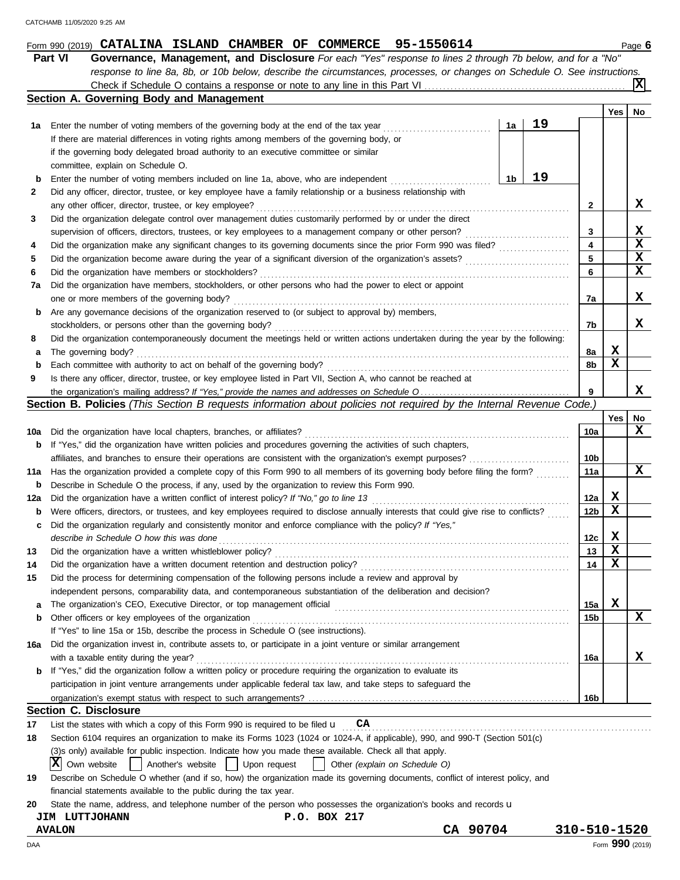|             | Part VI<br>Governance, Management, and Disclosure For each "Yes" response to lines 2 through 7b below, and for a "No"                                    |    |                 |            |     |
|-------------|----------------------------------------------------------------------------------------------------------------------------------------------------------|----|-----------------|------------|-----|
|             | response to line 8a, 8b, or 10b below, describe the circumstances, processes, or changes on Schedule O. See instructions.                                |    |                 |            |     |
|             |                                                                                                                                                          |    |                 |            | ΙxΙ |
|             | Section A. Governing Body and Management                                                                                                                 |    |                 |            |     |
|             |                                                                                                                                                          |    |                 | <b>Yes</b> | No  |
| 1а          | 1a<br>Enter the number of voting members of the governing body at the end of the tax year                                                                | 19 |                 |            |     |
|             | If there are material differences in voting rights among members of the governing body, or                                                               |    |                 |            |     |
|             | if the governing body delegated broad authority to an executive committee or similar                                                                     |    |                 |            |     |
|             | committee, explain on Schedule O.                                                                                                                        |    |                 |            |     |
| b           | 1b<br>Enter the number of voting members included on line 1a, above, who are independent                                                                 | 19 |                 |            |     |
| 2           | Did any officer, director, trustee, or key employee have a family relationship or a business relationship with                                           |    |                 |            |     |
|             | any other officer, director, trustee, or key employee?                                                                                                   |    | 2               |            | x   |
| 3           | Did the organization delegate control over management duties customarily performed by or under the direct                                                |    |                 |            |     |
|             | supervision of officers, directors, trustees, or key employees to a management company or other person?                                                  |    | 3               |            | X   |
| 4           | Did the organization make any significant changes to its governing documents since the prior Form 990 was filed?                                         |    | 4               |            | X   |
| 5           |                                                                                                                                                          |    | 5               |            | X   |
| 6           | Did the organization have members or stockholders?                                                                                                       |    | 6               |            | X   |
| 7а          | Did the organization have members, stockholders, or other persons who had the power to elect or appoint                                                  |    |                 |            |     |
|             | one or more members of the governing body?                                                                                                               |    | 7a              |            | X   |
| b           | Are any governance decisions of the organization reserved to (or subject to approval by) members,                                                        |    |                 |            |     |
|             | stockholders, or persons other than the governing body?                                                                                                  |    | 7b              |            | X   |
| 8           | Did the organization contemporaneously document the meetings held or written actions undertaken during the year by the following:                        |    |                 |            |     |
| а           | The governing body?                                                                                                                                      |    | 8a              | X          |     |
| $\mathbf b$ | Each committee with authority to act on behalf of the governing body?                                                                                    |    | 8b              | x          |     |
| 9           | Is there any officer, director, trustee, or key employee listed in Part VII, Section A, who cannot be reached at                                         |    |                 |            |     |
|             |                                                                                                                                                          |    | 9               |            | x   |
|             | Section B. Policies (This Section B requests information about policies not required by the Internal Revenue Code.)                                      |    |                 |            |     |
|             |                                                                                                                                                          |    |                 | Yes        | No  |
| 10a         | Did the organization have local chapters, branches, or affiliates?                                                                                       |    | 10a             |            | x   |
| b           | If "Yes," did the organization have written policies and procedures governing the activities of such chapters,                                           |    |                 |            |     |
|             | affiliates, and branches to ensure their operations are consistent with the organization's exempt purposes?                                              |    | 10 <sub>b</sub> |            |     |
| 11a         | Has the organization provided a complete copy of this Form 990 to all members of its governing body before filing the form?                              |    | 11a             |            | x   |
| b           | Describe in Schedule O the process, if any, used by the organization to review this Form 990.                                                            |    |                 |            |     |
| 12a         | Did the organization have a written conflict of interest policy? If "No," go to line 13                                                                  |    | 12a             | X<br>x     |     |
| b           | Were officers, directors, or trustees, and key employees required to disclose annually interests that could give rise to conflicts?                      |    | 12b             |            |     |
| c           | Did the organization regularly and consistently monitor and enforce compliance with the policy? If "Yes,"                                                |    |                 |            |     |
|             | describe in Schedule O how this was done                                                                                                                 |    | 12c             | X<br>X     |     |
| 13          | Did the organization have a written whistleblower policy?                                                                                                |    | 13              | X          |     |
| 14          | Did the organization have a written document retention and destruction policy?                                                                           |    | 14              |            |     |
| 15          | Did the process for determining compensation of the following persons include a review and approval by                                                   |    |                 |            |     |
|             | independent persons, comparability data, and contemporaneous substantiation of the deliberation and decision?                                            |    |                 |            |     |
| а           |                                                                                                                                                          |    | 15a             | X          | X   |
| b           | Other officers or key employees of the organization                                                                                                      |    | 15b             |            |     |
|             | If "Yes" to line 15a or 15b, describe the process in Schedule O (see instructions).                                                                      |    |                 |            |     |
| 16a         | Did the organization invest in, contribute assets to, or participate in a joint venture or similar arrangement<br>with a taxable entity during the year? |    |                 |            | X   |
|             | If "Yes," did the organization follow a written policy or procedure requiring the organization to evaluate its                                           |    | 16a             |            |     |
| b           | participation in joint venture arrangements under applicable federal tax law, and take steps to safeguard the                                            |    |                 |            |     |
|             |                                                                                                                                                          |    |                 |            |     |
|             | <b>Section C. Disclosure</b>                                                                                                                             |    | 16b             |            |     |
| 17          | CA<br>List the states with which a copy of this Form 990 is required to be filed $\mathbf u$                                                             |    |                 |            |     |
| 18          | Section 6104 requires an organization to make its Forms 1023 (1024 or 1024-A, if applicable), 990, and 990-T (Section 501(c)                             |    |                 |            |     |
|             | (3) s only) available for public inspection. Indicate how you made these available. Check all that apply.                                                |    |                 |            |     |
|             | IХ<br>Another's website    <br>Upon request<br>Own website<br>Other (explain on Schedule O)                                                              |    |                 |            |     |
| 19          | Describe on Schedule O whether (and if so, how) the organization made its governing documents, conflict of interest policy, and                          |    |                 |            |     |
|             | financial statements available to the public during the tax year.                                                                                        |    |                 |            |     |
| 20          | State the name, address, and telephone number of the person who possesses the organization's books and records u                                         |    |                 |            |     |

|  | <b>JIM LUTTJOHANN</b> | P.O. BOX 217 |  |  |
|--|-----------------------|--------------|--|--|
|--|-----------------------|--------------|--|--|

**AVALON CA 90704 310-510-1520**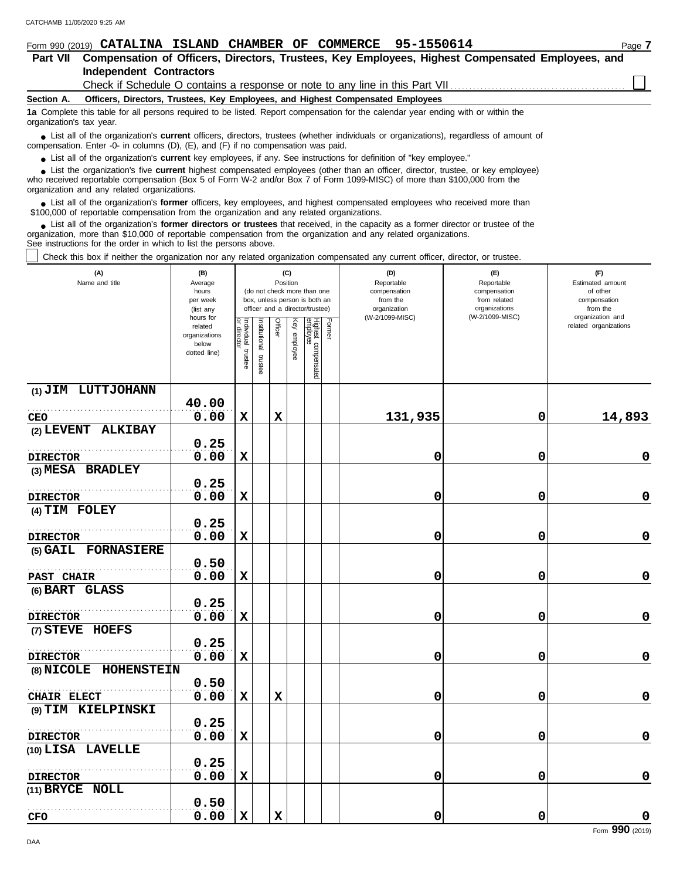| 95-1550614<br>COMMERCE<br>Form 990 (2019) CATALINA ISLAND CHAMBER OF<br>Page 7                                                                                                                                                                                                                             |  |
|------------------------------------------------------------------------------------------------------------------------------------------------------------------------------------------------------------------------------------------------------------------------------------------------------------|--|
| Compensation of Officers, Directors, Trustees, Key Employees, Highest Compensated Employees, and<br><b>Part VII</b>                                                                                                                                                                                        |  |
| <b>Independent Contractors</b>                                                                                                                                                                                                                                                                             |  |
|                                                                                                                                                                                                                                                                                                            |  |
| Officers, Directors, Trustees, Key Employees, and Highest Compensated Employees<br>Section A.                                                                                                                                                                                                              |  |
| 1a Complete this table for all persons required to be listed. Report compensation for the calendar year ending with or within the<br>organization's tax year.                                                                                                                                              |  |
| • List all of the organization's <b>current</b> officers, directors, trustees (whether individuals or organizations), regardless of amount of<br>compensation. Enter -0- in columns (D), (E), and (F) if no compensation was paid.                                                                         |  |
| • List all of the organization's current key employees, if any. See instructions for definition of "key employee."                                                                                                                                                                                         |  |
| • List the organization's five current highest compensated employees (other than an officer, director, trustee, or key employee)<br>who received reportable compensation (Box 5 of Form W-2 and/or Box 7 of Form 1099-MISC) of more than \$100,000 from the<br>organization and any related organizations. |  |

■ List all of the organization's **former** officers, key employees, and highest compensated employees who received more than<br>00,000 of reportable compensation from the organization and any related organizations \$100,000 of reportable compensation from the organization and any related organizations.

List all of the organization's **former directors or trustees** that received, in the capacity as a former director or trustee of the organization, more than \$10,000 of reportable compensation from the organization and any related organizations. See instructions for the order in which to list the persons above. **•**

Complete this box if neither the organization nor any related organization compensated any current officer, director, or trustee.

| (A)<br>Name and title | (B)<br>Average<br>hours<br>(do not check more than one<br>per week<br>box, unless person is both an<br>officer and a director/trustee)<br>(list any<br>hours for |                                      |                       |             | (C)<br>Position |                                 |        | (D)<br>Reportable<br>compensation<br>from the<br>organization<br>(W-2/1099-MISC) | (E)<br>Reportable<br>compensation<br>from related<br>organizations<br>(W-2/1099-MISC) | (F)<br>Estimated amount<br>of other<br>compensation<br>from the<br>organization and |  |  |
|-----------------------|------------------------------------------------------------------------------------------------------------------------------------------------------------------|--------------------------------------|-----------------------|-------------|-----------------|---------------------------------|--------|----------------------------------------------------------------------------------|---------------------------------------------------------------------------------------|-------------------------------------------------------------------------------------|--|--|
|                       | related<br>organizations<br>below<br>dotted line)                                                                                                                | Individual<br>or director<br>trustee | Institutional trustee | Officer     | Key employee    | Highest compensated<br>employee | Former |                                                                                  |                                                                                       | related organizations                                                               |  |  |
| (1) JIM LUTTJOHANN    |                                                                                                                                                                  |                                      |                       |             |                 |                                 |        |                                                                                  |                                                                                       |                                                                                     |  |  |
|                       | 40.00                                                                                                                                                            |                                      |                       |             |                 |                                 |        |                                                                                  |                                                                                       |                                                                                     |  |  |
| CEO                   | 0.00                                                                                                                                                             | $\mathbf x$                          |                       | $\mathbf x$ |                 |                                 |        | 131,935                                                                          | $\mathbf 0$                                                                           | 14,893                                                                              |  |  |
| (2) LEVENT ALKIBAY    | 0.25                                                                                                                                                             |                                      |                       |             |                 |                                 |        |                                                                                  |                                                                                       |                                                                                     |  |  |
|                       |                                                                                                                                                                  |                                      |                       |             |                 |                                 |        |                                                                                  |                                                                                       |                                                                                     |  |  |
| <b>DIRECTOR</b>       | 0.00                                                                                                                                                             | $\mathbf x$                          |                       |             |                 |                                 |        | 0                                                                                | 0                                                                                     | $\pmb{0}$                                                                           |  |  |
| (3) MESA BRADLEY      |                                                                                                                                                                  |                                      |                       |             |                 |                                 |        |                                                                                  |                                                                                       |                                                                                     |  |  |
|                       | 0.25                                                                                                                                                             |                                      |                       |             |                 |                                 |        |                                                                                  |                                                                                       |                                                                                     |  |  |
| <b>DIRECTOR</b>       | 0.00                                                                                                                                                             | $\mathbf x$                          |                       |             |                 |                                 |        | 0                                                                                | 0                                                                                     | 0                                                                                   |  |  |
| (4) TIM FOLEY         |                                                                                                                                                                  |                                      |                       |             |                 |                                 |        |                                                                                  |                                                                                       |                                                                                     |  |  |
|                       | 0.25                                                                                                                                                             |                                      |                       |             |                 |                                 |        |                                                                                  |                                                                                       |                                                                                     |  |  |
| <b>DIRECTOR</b>       | 0.00                                                                                                                                                             | $\mathbf x$                          |                       |             |                 |                                 |        | 0                                                                                | 0                                                                                     | $\mathbf 0$                                                                         |  |  |
| (5) GAIL FORNASIERE   |                                                                                                                                                                  |                                      |                       |             |                 |                                 |        |                                                                                  |                                                                                       |                                                                                     |  |  |
|                       | 0.50                                                                                                                                                             |                                      |                       |             |                 |                                 |        |                                                                                  |                                                                                       |                                                                                     |  |  |
| PAST CHAIR            | 0.00                                                                                                                                                             | $\mathbf x$                          |                       |             |                 |                                 |        | 0                                                                                | 0                                                                                     | $\pmb{0}$                                                                           |  |  |
| (6) BART GLASS        |                                                                                                                                                                  |                                      |                       |             |                 |                                 |        |                                                                                  |                                                                                       |                                                                                     |  |  |
|                       | 0.25                                                                                                                                                             |                                      |                       |             |                 |                                 |        |                                                                                  |                                                                                       |                                                                                     |  |  |
|                       |                                                                                                                                                                  |                                      |                       |             |                 |                                 |        |                                                                                  |                                                                                       |                                                                                     |  |  |
| <b>DIRECTOR</b>       | 0.00                                                                                                                                                             | $\mathbf x$                          |                       |             |                 |                                 |        | 0                                                                                | 0                                                                                     | 0                                                                                   |  |  |
| (7) STEVE HOEFS       |                                                                                                                                                                  |                                      |                       |             |                 |                                 |        |                                                                                  |                                                                                       |                                                                                     |  |  |
|                       | 0.25                                                                                                                                                             |                                      |                       |             |                 |                                 |        |                                                                                  |                                                                                       |                                                                                     |  |  |
| <b>DIRECTOR</b>       | 0.00                                                                                                                                                             | $\mathbf x$                          |                       |             |                 |                                 |        | 0                                                                                | 0                                                                                     | $\mathbf 0$                                                                         |  |  |
| (8) NICOLE HOHENSTEIN |                                                                                                                                                                  |                                      |                       |             |                 |                                 |        |                                                                                  |                                                                                       |                                                                                     |  |  |
|                       | 0.50                                                                                                                                                             |                                      |                       |             |                 |                                 |        |                                                                                  |                                                                                       |                                                                                     |  |  |
| CHAIR ELECT           | 0.00                                                                                                                                                             | $\mathbf x$                          |                       | $\mathbf x$ |                 |                                 |        | 0                                                                                | 0                                                                                     | 0                                                                                   |  |  |
| (9) TIM KIELPINSKI    |                                                                                                                                                                  |                                      |                       |             |                 |                                 |        |                                                                                  |                                                                                       |                                                                                     |  |  |
|                       | 0.25                                                                                                                                                             |                                      |                       |             |                 |                                 |        |                                                                                  |                                                                                       |                                                                                     |  |  |
| <b>DIRECTOR</b>       | 0.00                                                                                                                                                             | $\mathbf x$                          |                       |             |                 |                                 |        | 0                                                                                | 0                                                                                     | $\mathbf 0$                                                                         |  |  |
| (10) LISA LAVELLE     |                                                                                                                                                                  |                                      |                       |             |                 |                                 |        |                                                                                  |                                                                                       |                                                                                     |  |  |
|                       | 0.25                                                                                                                                                             |                                      |                       |             |                 |                                 |        |                                                                                  |                                                                                       |                                                                                     |  |  |
| <b>DIRECTOR</b>       | 0.00                                                                                                                                                             | $\mathbf x$                          |                       |             |                 |                                 |        | 0                                                                                | 0                                                                                     | $\mathbf 0$                                                                         |  |  |
| (11) BRYCE NOLL       |                                                                                                                                                                  |                                      |                       |             |                 |                                 |        |                                                                                  |                                                                                       |                                                                                     |  |  |
|                       | 0.50                                                                                                                                                             |                                      |                       |             |                 |                                 |        |                                                                                  |                                                                                       |                                                                                     |  |  |
|                       | 0.00                                                                                                                                                             | $\mathbf x$                          |                       | $\mathbf x$ |                 |                                 |        | 0                                                                                | 0                                                                                     | $\pmb{0}$                                                                           |  |  |
| <b>CFO</b>            |                                                                                                                                                                  |                                      |                       |             |                 |                                 |        |                                                                                  |                                                                                       |                                                                                     |  |  |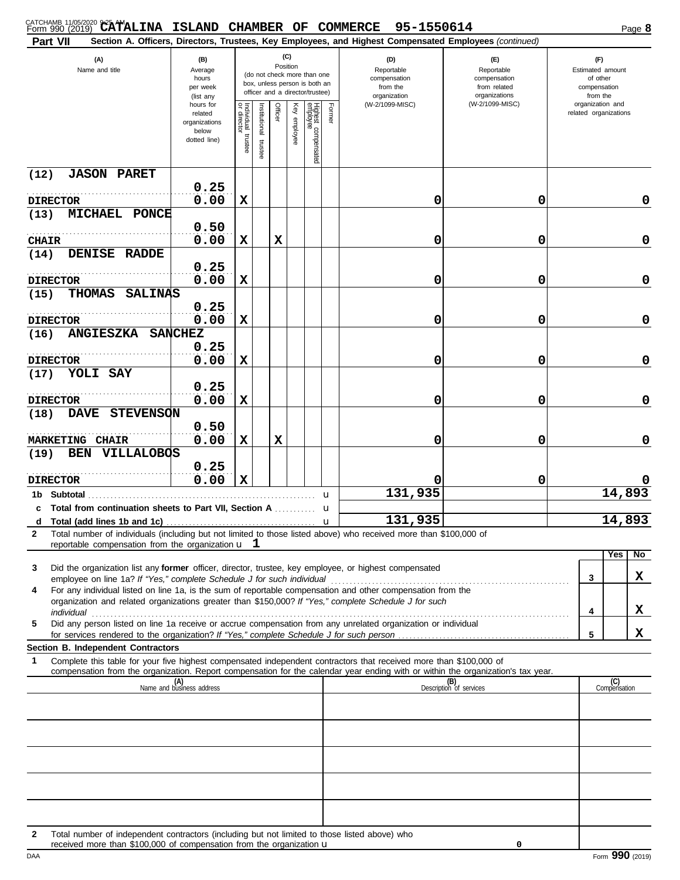| CATCHAMB 11/05/2020 9:25 AMALINA ISLAND CHAMBER OF COMMERCE<br>Part VII                                                                                                                                                   |                                                                |                                      |                      |         |                 |                                                                                                 |              | 95-1550614<br>Section A. Officers, Directors, Trustees, Key Employees, and Highest Compensated Employees (continued) |                                                                    |                                                                 | Page 8              |
|---------------------------------------------------------------------------------------------------------------------------------------------------------------------------------------------------------------------------|----------------------------------------------------------------|--------------------------------------|----------------------|---------|-----------------|-------------------------------------------------------------------------------------------------|--------------|----------------------------------------------------------------------------------------------------------------------|--------------------------------------------------------------------|-----------------------------------------------------------------|---------------------|
| (A)<br>Name and title                                                                                                                                                                                                     | (B)<br>Average<br>hours<br>per week<br>(list any               |                                      |                      |         | (C)<br>Position | (do not check more than one<br>box, unless person is both an<br>officer and a director/trustee) |              | (D)<br>Reportable<br>compensation<br>from the<br>organization                                                        | (E)<br>Reportable<br>compensation<br>from related<br>organizations | (F)<br>Estimated amount<br>of other<br>compensation<br>from the |                     |
|                                                                                                                                                                                                                           | hours for<br>related<br>organizations<br>below<br>dotted line) | Individual<br>or director<br>trustee | nstitutional trustee | Officer | Key employee    | Highest compensated<br>employee                                                                 | Former       | (W-2/1099-MISC)                                                                                                      | (W-2/1099-MISC)                                                    | organization and<br>related organizations                       |                     |
| <b>JASON PARET</b><br>(12)                                                                                                                                                                                                |                                                                |                                      |                      |         |                 |                                                                                                 |              |                                                                                                                      |                                                                    |                                                                 |                     |
| <b>DIRECTOR</b>                                                                                                                                                                                                           | 0.25<br>0.00                                                   | X                                    |                      |         |                 |                                                                                                 |              | 0                                                                                                                    | 0                                                                  |                                                                 | 0                   |
| <b>MICHAEL</b><br>PONCE<br>(13)                                                                                                                                                                                           | 0.50                                                           |                                      |                      |         |                 |                                                                                                 |              |                                                                                                                      |                                                                    |                                                                 |                     |
| <b>CHAIR</b>                                                                                                                                                                                                              | 0.00                                                           | X                                    |                      | X       |                 |                                                                                                 |              | 0                                                                                                                    | 0                                                                  |                                                                 | 0                   |
| DENISE RADDE<br>(14)                                                                                                                                                                                                      | 0.25                                                           |                                      |                      |         |                 |                                                                                                 |              |                                                                                                                      |                                                                    |                                                                 |                     |
| <b>DIRECTOR</b>                                                                                                                                                                                                           | 0.00                                                           | X                                    |                      |         |                 |                                                                                                 |              | 0                                                                                                                    | 0                                                                  |                                                                 | 0                   |
| <b>THOMAS</b><br><b>SALINAS</b><br>(15)                                                                                                                                                                                   | 0.25                                                           |                                      |                      |         |                 |                                                                                                 |              |                                                                                                                      |                                                                    |                                                                 |                     |
| <b>DIRECTOR</b>                                                                                                                                                                                                           | 0.00                                                           | X                                    |                      |         |                 |                                                                                                 |              | 0                                                                                                                    | 0                                                                  |                                                                 | 0                   |
| <b>ANGIESZKA</b><br>(16)                                                                                                                                                                                                  | <b>SANCHEZ</b>                                                 |                                      |                      |         |                 |                                                                                                 |              |                                                                                                                      |                                                                    |                                                                 |                     |
| <b>DIRECTOR</b>                                                                                                                                                                                                           | 0.25<br>0.00                                                   | X                                    |                      |         |                 |                                                                                                 |              | 0                                                                                                                    | 0                                                                  |                                                                 | 0                   |
| YOLI SAY<br>(17)                                                                                                                                                                                                          |                                                                |                                      |                      |         |                 |                                                                                                 |              |                                                                                                                      |                                                                    |                                                                 |                     |
|                                                                                                                                                                                                                           | 0.25                                                           |                                      |                      |         |                 |                                                                                                 |              |                                                                                                                      |                                                                    |                                                                 |                     |
| <b>DIRECTOR</b><br><b>STEVENSON</b><br><b>DAVE</b><br>(18)                                                                                                                                                                | 0.00                                                           | X                                    |                      |         |                 |                                                                                                 |              | 0                                                                                                                    | 0                                                                  |                                                                 | 0                   |
|                                                                                                                                                                                                                           | 0.50                                                           |                                      |                      |         |                 |                                                                                                 |              |                                                                                                                      |                                                                    |                                                                 |                     |
| <b>MARKETING CHAIR</b>                                                                                                                                                                                                    | 0.00                                                           | X                                    |                      | X       |                 |                                                                                                 |              | 0                                                                                                                    | 0                                                                  |                                                                 | 0                   |
| <b>VILLALOBOS</b><br><b>BEN</b><br>(19)                                                                                                                                                                                   | 0.25                                                           |                                      |                      |         |                 |                                                                                                 |              |                                                                                                                      |                                                                    |                                                                 |                     |
| <b>DIRECTOR</b>                                                                                                                                                                                                           | 0.00                                                           | X                                    |                      |         |                 |                                                                                                 |              |                                                                                                                      | 0                                                                  |                                                                 |                     |
| 1b Subtotal<br><b>Total from continuation sheets to Part VII, Section A</b> <i>minimini</i><br>c                                                                                                                          |                                                                |                                      |                      |         |                 |                                                                                                 | u<br>u       | 131,935                                                                                                              |                                                                    |                                                                 | 14,893              |
| d                                                                                                                                                                                                                         |                                                                |                                      |                      |         |                 |                                                                                                 | $\mathbf{u}$ | 131,935                                                                                                              |                                                                    |                                                                 | 14,893              |
| Total number of individuals (including but not limited to those listed above) who received more than \$100,000 of<br>$\mathbf{2}$<br>reportable compensation from the organization $\mathbf{u}$ $\mathbf{1}$              |                                                                |                                      |                      |         |                 |                                                                                                 |              |                                                                                                                      |                                                                    |                                                                 |                     |
|                                                                                                                                                                                                                           |                                                                |                                      |                      |         |                 |                                                                                                 |              |                                                                                                                      |                                                                    |                                                                 | Yes<br>No           |
| Did the organization list any former officer, director, trustee, key employee, or highest compensated<br>3                                                                                                                |                                                                |                                      |                      |         |                 |                                                                                                 |              |                                                                                                                      |                                                                    | 3                                                               | x                   |
| For any individual listed on line 1a, is the sum of reportable compensation and other compensation from the<br>4<br>organization and related organizations greater than \$150,000? If "Yes," complete Schedule J for such |                                                                |                                      |                      |         |                 |                                                                                                 |              |                                                                                                                      |                                                                    |                                                                 |                     |
| Did any person listed on line 1a receive or accrue compensation from any unrelated organization or individual<br>5                                                                                                        |                                                                |                                      |                      |         |                 |                                                                                                 |              |                                                                                                                      |                                                                    | 4                                                               | X                   |
|                                                                                                                                                                                                                           |                                                                |                                      |                      |         |                 |                                                                                                 |              |                                                                                                                      |                                                                    | 5                                                               | x                   |
| Section B. Independent Contractors<br>Complete this table for your five highest compensated independent contractors that received more than \$100,000 of<br>1                                                             |                                                                |                                      |                      |         |                 |                                                                                                 |              |                                                                                                                      |                                                                    |                                                                 |                     |
| compensation from the organization. Report compensation for the calendar year ending with or within the organization's tax year.                                                                                          |                                                                |                                      |                      |         |                 |                                                                                                 |              |                                                                                                                      |                                                                    |                                                                 |                     |
|                                                                                                                                                                                                                           | (A)<br>Name and business address                               |                                      |                      |         |                 |                                                                                                 |              |                                                                                                                      | (B)<br>Description of services                                     |                                                                 | (C)<br>Compensation |
|                                                                                                                                                                                                                           |                                                                |                                      |                      |         |                 |                                                                                                 |              |                                                                                                                      |                                                                    |                                                                 |                     |
|                                                                                                                                                                                                                           |                                                                |                                      |                      |         |                 |                                                                                                 |              |                                                                                                                      |                                                                    |                                                                 |                     |
|                                                                                                                                                                                                                           |                                                                |                                      |                      |         |                 |                                                                                                 |              |                                                                                                                      |                                                                    |                                                                 |                     |
|                                                                                                                                                                                                                           |                                                                |                                      |                      |         |                 |                                                                                                 |              |                                                                                                                      |                                                                    |                                                                 |                     |
|                                                                                                                                                                                                                           |                                                                |                                      |                      |         |                 |                                                                                                 |              |                                                                                                                      |                                                                    |                                                                 |                     |
|                                                                                                                                                                                                                           |                                                                |                                      |                      |         |                 |                                                                                                 |              |                                                                                                                      |                                                                    |                                                                 |                     |
|                                                                                                                                                                                                                           |                                                                |                                      |                      |         |                 |                                                                                                 |              |                                                                                                                      |                                                                    |                                                                 |                     |
| Total number of independent contractors (including but not limited to those listed above) who<br>2<br>received more than \$100,000 of compensation from the organization u                                                |                                                                |                                      |                      |         |                 |                                                                                                 |              |                                                                                                                      | 0                                                                  |                                                                 |                     |

DAA Form 990 (2019) received more than \$100,000 of compensation from the organization  $\mathbf u$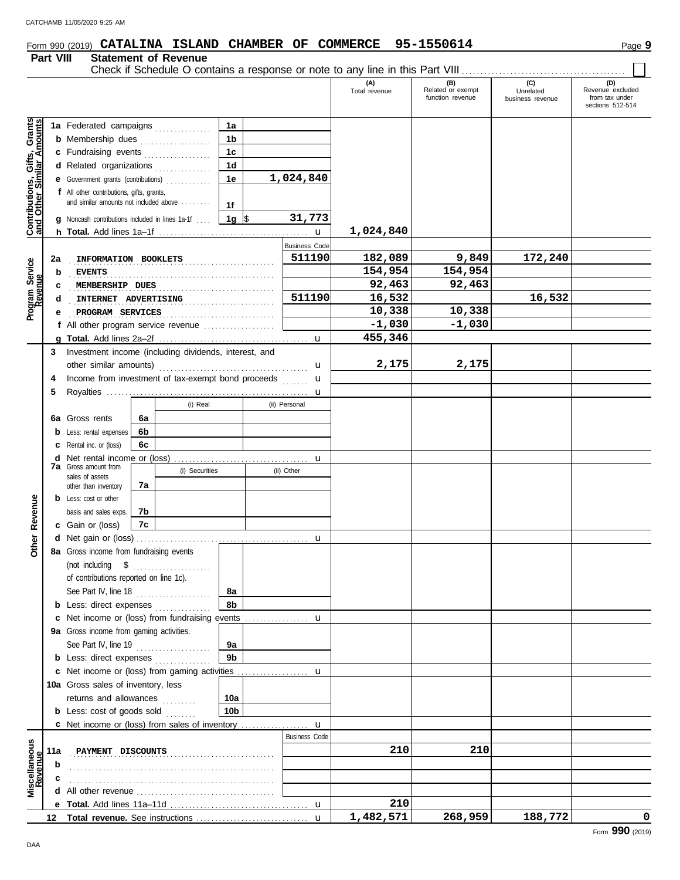## Form 990 (2019) **CATALINA ISLAND CHAMBER OF COMMERCE** 95-1550614 Page 9

#### **Part VIII Statement of Revenue**

Check if Schedule O contains a response or note to any line in this Part VIII . . . . . . . . . . . . . . . . . . . . . . . . . . . . . . . . . . . . . . . . . . . .

|                                                                  |     |                                                                                                                                                      |    |                |                                        |                       | (A)<br>Total revenue | (B)<br>Related or exempt<br>function revenue | (C)<br>Unrelated<br>business revenue | (D)<br>Revenue excluded<br>from tax under<br>sections 512-514 |
|------------------------------------------------------------------|-----|------------------------------------------------------------------------------------------------------------------------------------------------------|----|----------------|----------------------------------------|-----------------------|----------------------|----------------------------------------------|--------------------------------------|---------------------------------------------------------------|
| <b>Contributions, Gifts, Grants</b><br>and Other Similar Amounts |     | 1a Federated campaigns<br><b>b</b> Membership dues<br>c Fundraising events<br>d Related organizations<br>e Government grants (contributions)         |    | .<br>.         | 1a<br>1b<br>1 <sub>c</sub><br>1d<br>1e | 1,024,840             |                      |                                              |                                      |                                                               |
|                                                                  |     | <b>f</b> All other contributions, gifts, grants,<br>and similar amounts not included above<br><b>q</b> Noncash contributions included in lines 1a-1f |    |                | 1f<br>1g $\sqrt{3}$                    | 31,773<br>$\mathbf u$ | 1,024,840            |                                              |                                      |                                                               |
|                                                                  |     |                                                                                                                                                      |    |                |                                        | <b>Business Code</b>  |                      |                                              |                                      |                                                               |
|                                                                  | 2a  | INFORMATION BOOKLETS                                                                                                                                 |    |                |                                        | 511190                | 182,089              | 9,849                                        | 172,240                              |                                                               |
|                                                                  | b   | <b>EVENTS</b>                                                                                                                                        |    |                |                                        |                       | 154,954              | 154,954                                      |                                      |                                                               |
| Program Service<br>Revenue                                       | c   | MEMBERSHIP DUES                                                                                                                                      |    |                |                                        |                       | 92,463               | 92,463                                       |                                      |                                                               |
|                                                                  | d   | INTERNET ADVERTISING                                                                                                                                 |    |                |                                        | 511190                | 16,532               |                                              | 16,532                               |                                                               |
|                                                                  | е   | PROGRAM SERVICES                                                                                                                                     |    |                | .                                      |                       | 10,338               | 10,338                                       |                                      |                                                               |
|                                                                  |     | <b>f</b> All other program service revenue $\ldots$                                                                                                  |    |                |                                        |                       | $-1,030$             | $-1,030$                                     |                                      |                                                               |
|                                                                  |     |                                                                                                                                                      |    |                |                                        |                       | 455,346              |                                              |                                      |                                                               |
|                                                                  | 3   | Investment income (including dividends, interest, and                                                                                                |    |                |                                        |                       |                      |                                              |                                      |                                                               |
|                                                                  |     | other similar amounts)                                                                                                                               |    |                |                                        | u                     | 2,175                | 2,175                                        |                                      |                                                               |
|                                                                  | 4   | Income from investment of tax-exempt bond proceeds                                                                                                   |    |                |                                        | u                     |                      |                                              |                                      |                                                               |
|                                                                  | 5   |                                                                                                                                                      |    |                |                                        | u                     |                      |                                              |                                      |                                                               |
|                                                                  |     |                                                                                                                                                      |    | (i) Real       |                                        | (ii) Personal         |                      |                                              |                                      |                                                               |
|                                                                  | 6а  | Gross rents                                                                                                                                          | 6a |                |                                        |                       |                      |                                              |                                      |                                                               |
|                                                                  | b   | Less: rental expenses                                                                                                                                | 6b |                |                                        |                       |                      |                                              |                                      |                                                               |
|                                                                  | с   | Rental inc. or (loss)                                                                                                                                | 6с |                |                                        |                       |                      |                                              |                                      |                                                               |
|                                                                  | d   | Net rental income or (loss)                                                                                                                          |    |                |                                        | u                     |                      |                                              |                                      |                                                               |
|                                                                  |     | <b>7a</b> Gross amount from<br>sales of assets                                                                                                       |    | (i) Securities |                                        | (ii) Other            |                      |                                              |                                      |                                                               |
|                                                                  |     | other than inventory                                                                                                                                 | 7a |                |                                        |                       |                      |                                              |                                      |                                                               |
|                                                                  |     | <b>b</b> Less: cost or other                                                                                                                         |    |                |                                        |                       |                      |                                              |                                      |                                                               |
| Revenue                                                          |     | basis and sales exps.                                                                                                                                | 7b |                |                                        |                       |                      |                                              |                                      |                                                               |
|                                                                  |     | <b>c</b> Gain or (loss)                                                                                                                              | 7c |                |                                        |                       |                      |                                              |                                      |                                                               |
| Other                                                            |     |                                                                                                                                                      |    |                |                                        | u                     |                      |                                              |                                      |                                                               |
|                                                                  |     | 8a Gross income from fundraising events                                                                                                              |    |                |                                        |                       |                      |                                              |                                      |                                                               |
|                                                                  |     | (not including<br>$\sqrt{3}$<br>of contributions reported on line 1c).<br>See Part IV, line 18                                                       |    |                | 8a                                     |                       |                      |                                              |                                      |                                                               |
|                                                                  |     | <b>b</b> Less: direct expenses                                                                                                                       |    |                | 8b                                     |                       |                      |                                              |                                      |                                                               |
|                                                                  | c   | Net income or (loss) from fundraising events                                                                                                         |    |                |                                        | u                     |                      |                                              |                                      |                                                               |
|                                                                  |     | 9a Gross income from gaming activities.                                                                                                              |    |                |                                        |                       |                      |                                              |                                      |                                                               |
|                                                                  |     | See Part IV, line 19                                                                                                                                 |    | .              | 9a                                     |                       |                      |                                              |                                      |                                                               |
|                                                                  |     | <b>b</b> Less: direct expenses                                                                                                                       |    |                | 9 <sub>b</sub>                         |                       |                      |                                              |                                      |                                                               |
|                                                                  |     | <b>c</b> Net income or (loss) from gaming activities                                                                                                 |    |                |                                        | u                     |                      |                                              |                                      |                                                               |
|                                                                  |     | 10a Gross sales of inventory, less                                                                                                                   |    |                |                                        |                       |                      |                                              |                                      |                                                               |
|                                                                  |     | returns and allowances                                                                                                                               |    | a da da da d   | 10a                                    |                       |                      |                                              |                                      |                                                               |
|                                                                  |     | <b>b</b> Less: cost of goods sold                                                                                                                    |    |                | 10 <sub>b</sub>                        |                       |                      |                                              |                                      |                                                               |
|                                                                  |     | <b>c</b> Net income or (loss) from sales of inventory                                                                                                |    |                |                                        | u                     |                      |                                              |                                      |                                                               |
|                                                                  |     |                                                                                                                                                      |    |                |                                        | <b>Business Code</b>  |                      |                                              |                                      |                                                               |
|                                                                  | 11a | PAYMENT DISCOUNTS                                                                                                                                    |    |                |                                        |                       | 210                  | 210                                          |                                      |                                                               |
|                                                                  | b   |                                                                                                                                                      |    |                |                                        |                       |                      |                                              |                                      |                                                               |
| Miscellaneous<br>Revenue                                         |     |                                                                                                                                                      |    |                |                                        |                       |                      |                                              |                                      |                                                               |
|                                                                  | d   |                                                                                                                                                      |    |                |                                        |                       |                      |                                              |                                      |                                                               |
|                                                                  |     |                                                                                                                                                      |    |                |                                        |                       | 210                  |                                              |                                      |                                                               |
|                                                                  | 12  |                                                                                                                                                      |    |                |                                        |                       | 1,482,571            | 268,959                                      | 188,772                              | 0                                                             |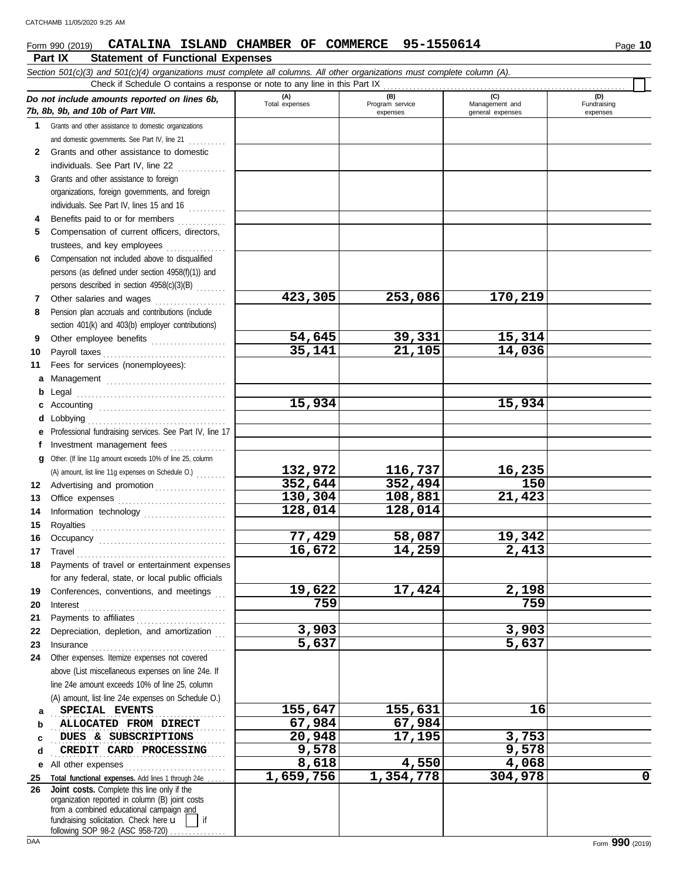#### **Form 990 (2019) CATALINA ISLAND CHAMBER OF COMMERCE 95-1550614** Page 10

|              | Part IX<br><b>Statement of Functional Expenses</b>                                                                         |                       |                                    |                                           |                                |
|--------------|----------------------------------------------------------------------------------------------------------------------------|-----------------------|------------------------------------|-------------------------------------------|--------------------------------|
|              | Section 501(c)(3) and 501(c)(4) organizations must complete all columns. All other organizations must complete column (A). |                       |                                    |                                           |                                |
|              | Check if Schedule O contains a response or note to any line in this Part IX                                                |                       |                                    |                                           |                                |
|              | Do not include amounts reported on lines 6b,<br>7b, 8b, 9b, and 10b of Part VIII.                                          | (A)<br>Total expenses | (B)<br>Program service<br>expenses | (C)<br>Management and<br>general expenses | (D)<br>Fundraising<br>expenses |
| 1            | Grants and other assistance to domestic organizations                                                                      |                       |                                    |                                           |                                |
|              | and domestic governments. See Part IV, line 21                                                                             |                       |                                    |                                           |                                |
| $\mathbf{2}$ | Grants and other assistance to domestic                                                                                    |                       |                                    |                                           |                                |
|              | individuals. See Part IV, line 22                                                                                          |                       |                                    |                                           |                                |
| 3            | Grants and other assistance to foreign                                                                                     |                       |                                    |                                           |                                |
|              | organizations, foreign governments, and foreign                                                                            |                       |                                    |                                           |                                |
|              | individuals. See Part IV, lines 15 and 16                                                                                  |                       |                                    |                                           |                                |
| 4            | Benefits paid to or for members<br>.                                                                                       |                       |                                    |                                           |                                |
| 5            | Compensation of current officers, directors,                                                                               |                       |                                    |                                           |                                |
|              | trustees, and key employees<br>Compensation not included above to disqualified                                             |                       |                                    |                                           |                                |
| 6            | persons (as defined under section 4958(f)(1)) and                                                                          |                       |                                    |                                           |                                |
|              | persons described in section 4958(c)(3)(B)                                                                                 |                       |                                    |                                           |                                |
| 7            | Other salaries and wages                                                                                                   | 423,305               | 253,086                            | 170,219                                   |                                |
| 8            | Pension plan accruals and contributions (include                                                                           |                       |                                    |                                           |                                |
|              | section 401(k) and 403(b) employer contributions)                                                                          |                       |                                    |                                           |                                |
| 9            | Other employee benefits                                                                                                    | 54,645                | 39,331                             | 15,314                                    |                                |
| 10           | Payroll taxes                                                                                                              | 35,141                | 21,105                             | 14,036                                    |                                |
| 11           | Fees for services (nonemployees):                                                                                          |                       |                                    |                                           |                                |
| a            | Management                                                                                                                 |                       |                                    |                                           |                                |
| b            | Legal                                                                                                                      |                       |                                    |                                           |                                |
| c            | Accounting                                                                                                                 | 15,934                |                                    | 15,934                                    |                                |
| d            | Lobbying                                                                                                                   |                       |                                    |                                           |                                |
| е            | Professional fundraising services. See Part IV, line 17                                                                    |                       |                                    |                                           |                                |
| f            | Investment management fees                                                                                                 |                       |                                    |                                           |                                |
| q            | Other. (If line 11g amount exceeds 10% of line 25, column                                                                  |                       |                                    |                                           |                                |
|              | (A) amount, list line 11g expenses on Schedule O.)                                                                         | 132,972               | 116,737                            | 16,235                                    |                                |
| 12           | Advertising and promotion                                                                                                  | 352,644               | 352,494                            | 150                                       |                                |
| 13           |                                                                                                                            | 130,304               | 108,881                            | 21,423                                    |                                |
| 14           | Information technology                                                                                                     | 128,014               | 128,014                            |                                           |                                |
| 15           | Royalties                                                                                                                  |                       |                                    |                                           |                                |
| 16           |                                                                                                                            | 77,429                | 58,087                             | 19,342                                    |                                |
|              | 17 Travel                                                                                                                  | 16,672                | 14,259                             | 2,413                                     |                                |
|              | 18 Payments of travel or entertainment expenses                                                                            |                       |                                    |                                           |                                |
| 19           | for any federal, state, or local public officials<br>Conferences, conventions, and meetings                                | 19,622                | 17,424                             | 2,198                                     |                                |
| 20           |                                                                                                                            | 759                   |                                    | 759                                       |                                |
| 21           | $Interest$<br>Payments to affiliates                                                                                       |                       |                                    |                                           |                                |
| 22           | Depreciation, depletion, and amortization                                                                                  | 3,903                 |                                    | 3,903                                     |                                |
| 23           |                                                                                                                            | 5,637                 |                                    | 5,637                                     |                                |
| 24           | Other expenses. Itemize expenses not covered                                                                               |                       |                                    |                                           |                                |
|              | above (List miscellaneous expenses on line 24e. If                                                                         |                       |                                    |                                           |                                |
|              | line 24e amount exceeds 10% of line 25, column                                                                             |                       |                                    |                                           |                                |
|              | (A) amount, list line 24e expenses on Schedule O.)                                                                         |                       |                                    |                                           |                                |
| a            | SPECIAL EVENTS                                                                                                             | 155,647               | 155,631                            | 16                                        |                                |
| b            | ALLOCATED FROM DIRECT                                                                                                      | 67,984                | 67,984                             |                                           |                                |
| c            | DUES & SUBSCRIPTIONS                                                                                                       | 20,948                | 17,195                             | 3,753                                     |                                |
| d            | CREDIT CARD PROCESSING                                                                                                     | 9,578                 |                                    | 9,578                                     |                                |
| е            | All other expenses<br>.                                                                                                    | 8,618                 | 4,550                              | 4,068                                     |                                |
| 25           | Total functional expenses. Add lines 1 through 24e                                                                         | 1,659,756             | 1,354,778                          | 304,978                                   | 0                              |
| 26           | Joint costs. Complete this line only if the<br>organization reported in column (B) joint costs                             |                       |                                    |                                           |                                |
|              | from a combined educational campaign and                                                                                   |                       |                                    |                                           |                                |
|              | fundraising solicitation. Check here u<br>l if                                                                             |                       |                                    |                                           |                                |

 $\overline{\phantom{a}}$ 

following SOP 98-2 (ASC 958-720) ................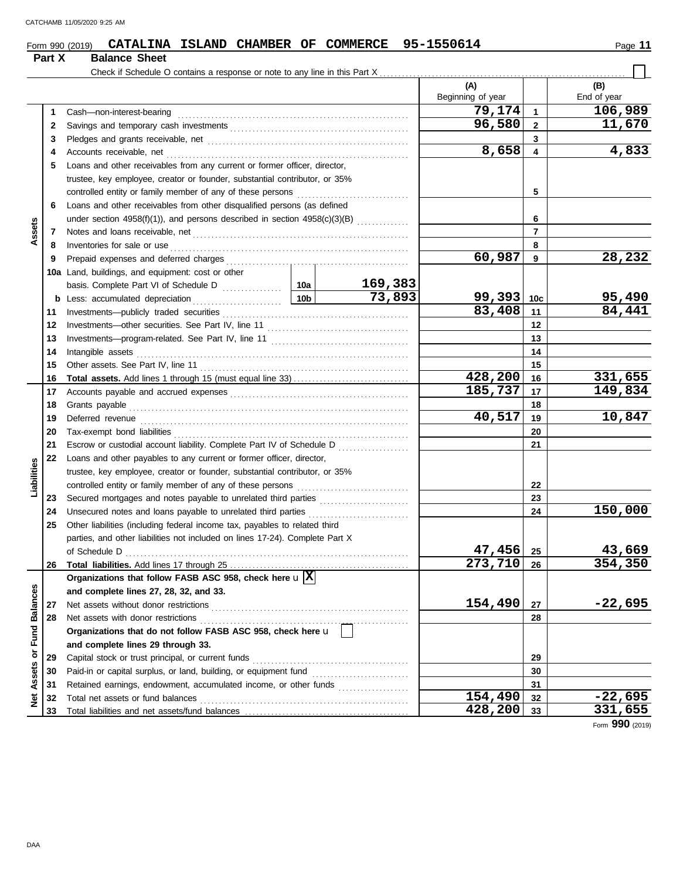#### Form 990 (2019) **CATALINA ISLAND CHAMBER OF COMMERCE** 95-1550614 Page 11 **CATALINA ISLAND CHAMBER OF COMMERCE 95-1550614**

|                 | Part X | <b>Balance Sheet</b>                                                         |                 |         |                          |                 |                    |
|-----------------|--------|------------------------------------------------------------------------------|-----------------|---------|--------------------------|-----------------|--------------------|
|                 |        |                                                                              |                 |         | (A)<br>Beginning of year |                 | (B)<br>End of year |
|                 | 1      | Cash-non-interest-bearing                                                    |                 |         | 79,174                   | $\mathbf{1}$    | 106,989            |
|                 | 2      |                                                                              |                 |         | 96,580                   | $\mathbf{2}$    | 11,670             |
|                 | 3      |                                                                              |                 |         |                          | 3               |                    |
|                 | 4      | Accounts receivable, net                                                     |                 |         | 8,658                    | 4               | 4,833              |
|                 | 5      | Loans and other receivables from any current or former officer, director,    |                 |         |                          |                 |                    |
|                 |        | trustee, key employee, creator or founder, substantial contributor, or 35%   |                 |         |                          |                 |                    |
|                 |        |                                                                              |                 |         |                          | 5               |                    |
|                 | 6      | Loans and other receivables from other disqualified persons (as defined      |                 |         |                          |                 |                    |
|                 |        |                                                                              |                 |         |                          | 6               |                    |
| Assets          | 7      |                                                                              |                 |         |                          | $\overline{7}$  |                    |
|                 | 8      | Inventories for sale or use                                                  |                 |         |                          | 8               |                    |
|                 | 9      |                                                                              |                 |         | 60,987                   | 9               | 28,232             |
|                 |        | 10a Land, buildings, and equipment: cost or other                            |                 |         |                          |                 |                    |
|                 |        |                                                                              |                 | 169,383 |                          |                 |                    |
|                 | b      | Less: accumulated depreciation                                               | 10 <sub>b</sub> | 73,893  | 99,393                   | 10 <sub>c</sub> | 95,490             |
|                 | 11     |                                                                              |                 |         | 83,408                   | 11              | 84,441             |
|                 | 12     |                                                                              |                 |         |                          | 12              |                    |
|                 | 13     |                                                                              |                 |         |                          | 13              |                    |
|                 | 14     | Intangible assets                                                            |                 |         |                          | 14              |                    |
|                 | 15     |                                                                              |                 |         |                          | 15              |                    |
|                 | 16     |                                                                              |                 |         | 428,200                  | 16              | 331,655            |
|                 | 17     |                                                                              |                 |         | 185,737                  | 17              | 149,834            |
|                 | 18     | Grants payable                                                               |                 |         | 18                       |                 |                    |
|                 | 19     |                                                                              |                 |         | 40,517                   | 19              | 10,847             |
|                 | 20     |                                                                              |                 |         |                          | 20              |                    |
|                 | 21     | Escrow or custodial account liability. Complete Part IV of Schedule D        |                 | 21      |                          |                 |                    |
|                 | 22     | Loans and other payables to any current or former officer, director,         |                 |         |                          |                 |                    |
|                 |        | trustee, key employee, creator or founder, substantial contributor, or 35%   |                 |         |                          |                 |                    |
| Liabilities     |        |                                                                              |                 |         |                          | 22              |                    |
|                 | 23     | Secured mortgages and notes payable to unrelated third parties               |                 |         |                          | 23              |                    |
|                 | 24     | Unsecured notes and loans payable to unrelated third parties                 |                 |         |                          | 24              | 150,000            |
|                 | 25     | Other liabilities (including federal income tax, payables to related third   |                 |         |                          |                 |                    |
|                 |        | parties, and other liabilities not included on lines 17-24). Complete Part X |                 |         |                          |                 |                    |
|                 |        | of Schedule D                                                                |                 |         | 47,456                   | 25              | 43,669             |
|                 | 26     |                                                                              |                 |         | 273,710                  | 26              | 354,350            |
|                 |        | Organizations that follow FASB ASC 958, check here $\mathbf{u} \mathbf{X} $  |                 |         |                          |                 |                    |
|                 |        | and complete lines 27, 28, 32, and 33.                                       |                 |         |                          |                 |                    |
| <b>Balances</b> | 27     | Net assets without donor restrictions                                        |                 |         | 154,490                  | 27              | $-22,695$          |
|                 | 28     | Net assets with donor restrictions                                           |                 |         |                          | 28              |                    |
| Fund            |        | Organizations that do not follow FASB ASC 958, check here u                  |                 |         |                          |                 |                    |
|                 |        | and complete lines 29 through 33.                                            |                 |         |                          |                 |                    |
| ŏ               | 29     | Capital stock or trust principal, or current funds                           |                 |         |                          | 29              |                    |
| Assets          | 30     |                                                                              |                 |         |                          | 30              |                    |
|                 | 31     | Retained earnings, endowment, accumulated income, or other funds             |                 |         |                          | 31              |                    |
| Net             | 32     |                                                                              |                 |         | 154,490                  | 32              | $-22,695$          |
|                 | 33     |                                                                              |                 |         | 428,200                  | 33              | 331,655            |

Form **990** (2019)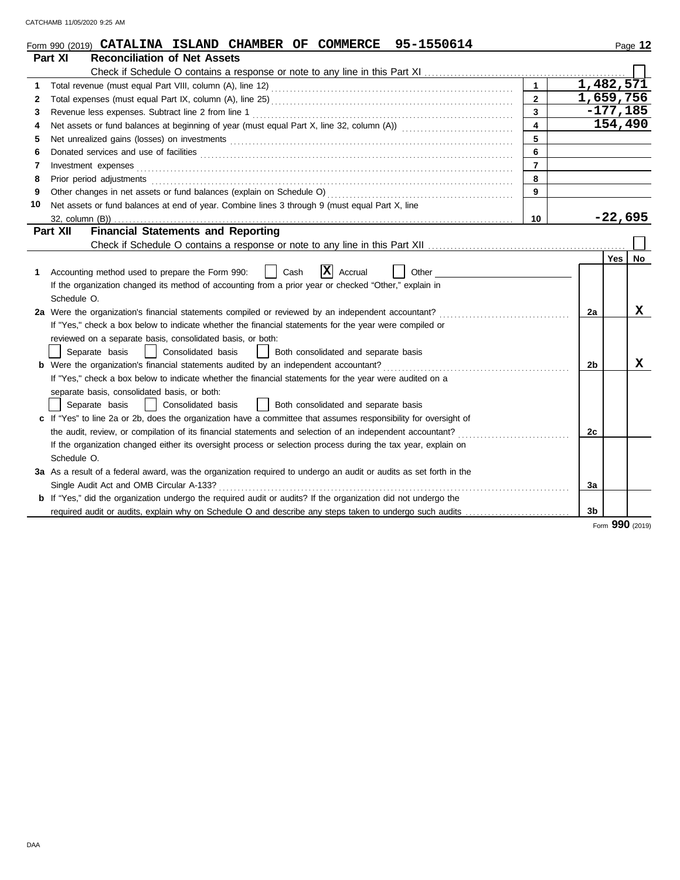|              | 95-1550614<br>Form 990 (2019) CATALINA ISLAND CHAMBER OF COMMERCE                                                     |                         |                        |            | Page 12         |
|--------------|-----------------------------------------------------------------------------------------------------------------------|-------------------------|------------------------|------------|-----------------|
|              | <b>Reconciliation of Net Assets</b><br>Part XI                                                                        |                         |                        |            |                 |
|              |                                                                                                                       |                         |                        |            |                 |
| 1            |                                                                                                                       | $\overline{1}$          | $1,482,5\overline{71}$ |            |                 |
| $\mathbf{2}$ |                                                                                                                       | $\overline{2}$          | 1,659,756              |            |                 |
| 3            |                                                                                                                       | $\mathbf{3}$            |                        | $-177,185$ |                 |
| 4            |                                                                                                                       | $\overline{\mathbf{4}}$ |                        | 154,490    |                 |
| 5            |                                                                                                                       | 5                       |                        |            |                 |
| 6            |                                                                                                                       | 6                       |                        |            |                 |
| 7            | Investment expenses <b>contract and the expenses</b>                                                                  | $\overline{7}$          |                        |            |                 |
| 8            | Prior period adjustments                                                                                              | 8                       |                        |            |                 |
| 9            |                                                                                                                       | 9                       |                        |            |                 |
| 10           | Net assets or fund balances at end of year. Combine lines 3 through 9 (must equal Part X, line                        |                         |                        |            |                 |
|              | 32, column (B))                                                                                                       | 10                      |                        | $-22,695$  |                 |
|              | <b>Financial Statements and Reporting</b><br>Part XII                                                                 |                         |                        |            |                 |
|              |                                                                                                                       |                         |                        |            |                 |
|              |                                                                                                                       |                         |                        | Yes   No   |                 |
| 1            | X <br>Accounting method used to prepare the Form 990:<br>Cash<br>Accrual<br>Other                                     |                         |                        |            |                 |
|              | If the organization changed its method of accounting from a prior year or checked "Other," explain in                 |                         |                        |            |                 |
|              | Schedule O.                                                                                                           |                         |                        |            |                 |
|              | 2a Were the organization's financial statements compiled or reviewed by an independent accountant?                    |                         | 2a                     |            | x               |
|              | If "Yes," check a box below to indicate whether the financial statements for the year were compiled or                |                         |                        |            |                 |
|              | reviewed on a separate basis, consolidated basis, or both:                                                            |                         |                        |            |                 |
|              | Separate basis<br>Consolidated basis<br>Both consolidated and separate basis                                          |                         |                        |            |                 |
|              | <b>b</b> Were the organization's financial statements audited by an independent accountant?                           |                         | 2 <sub>b</sub>         |            | x               |
|              | If "Yes," check a box below to indicate whether the financial statements for the year were audited on a               |                         |                        |            |                 |
|              | separate basis, consolidated basis, or both:                                                                          |                         |                        |            |                 |
|              | Both consolidated and separate basis<br>Separate basis<br>Consolidated basis                                          |                         |                        |            |                 |
|              | c If "Yes" to line 2a or 2b, does the organization have a committee that assumes responsibility for oversight of      |                         |                        |            |                 |
|              | the audit, review, or compilation of its financial statements and selection of an independent accountant?             |                         | 2c                     |            |                 |
|              | If the organization changed either its oversight process or selection process during the tax year, explain on         |                         |                        |            |                 |
|              | Schedule O.                                                                                                           |                         |                        |            |                 |
|              | 3a As a result of a federal award, was the organization required to undergo an audit or audits as set forth in the    |                         |                        |            |                 |
|              | Single Audit Act and OMB Circular A-133?                                                                              |                         | За                     |            |                 |
|              | <b>b</b> If "Yes," did the organization undergo the required audit or audits? If the organization did not undergo the |                         |                        |            |                 |
|              | required audit or audits, explain why on Schedule O and describe any steps taken to undergo such audits               |                         | 3b                     |            |                 |
|              |                                                                                                                       |                         |                        |            | Form 990 (2019) |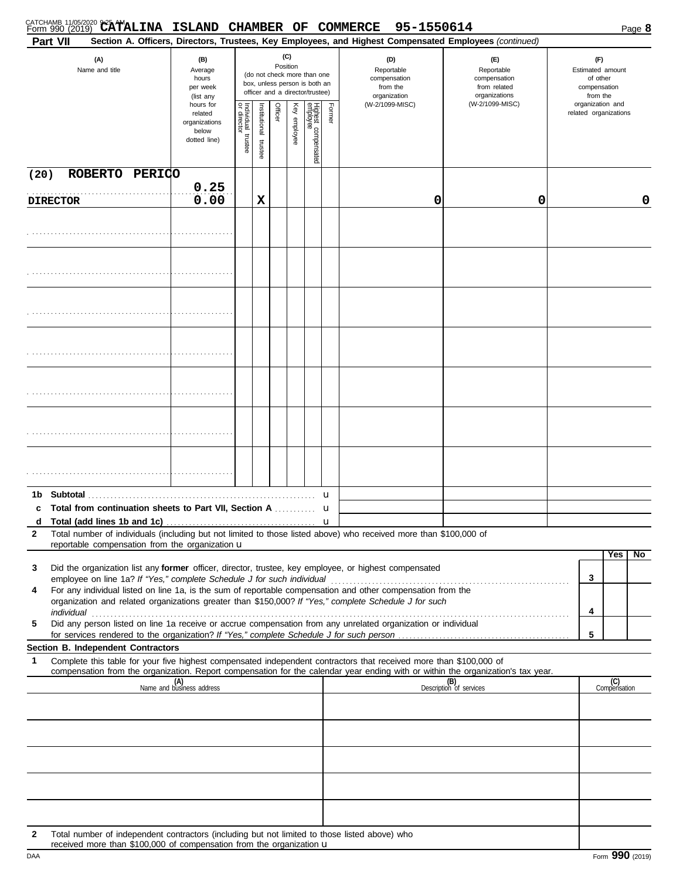|              | CATCHAMB 11/05/2020 9:25 AMALINA ISLAND CHAMBER OF COMMERCE 95-1550614<br>Part VII                                                                                                                                                                                                                                                                   |                                                                |                                      |                      |          |              |                                                                                                 |             | Section A. Officers, Directors, Trustees, Key Employees, and Highest Compensated Employees (continued) |                                                                    |                                           |                                                                 | Page 8 |  |
|--------------|------------------------------------------------------------------------------------------------------------------------------------------------------------------------------------------------------------------------------------------------------------------------------------------------------------------------------------------------------|----------------------------------------------------------------|--------------------------------------|----------------------|----------|--------------|-------------------------------------------------------------------------------------------------|-------------|--------------------------------------------------------------------------------------------------------|--------------------------------------------------------------------|-------------------------------------------|-----------------------------------------------------------------|--------|--|
|              | (A)<br>Name and title                                                                                                                                                                                                                                                                                                                                | (B)<br>Average<br>hours<br>per week<br>(list any               |                                      |                      | Position | (C)          | (do not check more than one<br>box, unless person is both an<br>officer and a director/trustee) |             | (D)<br>Reportable<br>compensation<br>from the<br>organization                                          | (E)<br>Reportable<br>compensation<br>from related<br>organizations |                                           | (F)<br>Estimated amount<br>of other<br>compensation<br>from the |        |  |
|              |                                                                                                                                                                                                                                                                                                                                                      | hours for<br>related<br>organizations<br>below<br>dotted line) | Individual<br>or director<br>trustee | nstitutional trustee | Officer  | Key employee | Highest compensated<br>employee                                                                 | Former      | (W-2/1099-MISC)                                                                                        | (W-2/1099-MISC)                                                    | organization and<br>related organizations |                                                                 |        |  |
| (20)         | ROBERTO PERICO                                                                                                                                                                                                                                                                                                                                       |                                                                |                                      |                      |          |              |                                                                                                 |             |                                                                                                        |                                                                    |                                           |                                                                 |        |  |
|              | <b>DIRECTOR</b>                                                                                                                                                                                                                                                                                                                                      | 0.25<br>0.00                                                   |                                      | х                    |          |              |                                                                                                 |             | 0                                                                                                      | 0                                                                  |                                           |                                                                 | 0      |  |
|              |                                                                                                                                                                                                                                                                                                                                                      |                                                                |                                      |                      |          |              |                                                                                                 |             |                                                                                                        |                                                                    |                                           |                                                                 |        |  |
|              |                                                                                                                                                                                                                                                                                                                                                      |                                                                |                                      |                      |          |              |                                                                                                 |             |                                                                                                        |                                                                    |                                           |                                                                 |        |  |
|              |                                                                                                                                                                                                                                                                                                                                                      |                                                                |                                      |                      |          |              |                                                                                                 |             |                                                                                                        |                                                                    |                                           |                                                                 |        |  |
|              |                                                                                                                                                                                                                                                                                                                                                      |                                                                |                                      |                      |          |              |                                                                                                 |             |                                                                                                        |                                                                    |                                           |                                                                 |        |  |
|              |                                                                                                                                                                                                                                                                                                                                                      |                                                                |                                      |                      |          |              |                                                                                                 |             |                                                                                                        |                                                                    |                                           |                                                                 |        |  |
|              |                                                                                                                                                                                                                                                                                                                                                      |                                                                |                                      |                      |          |              |                                                                                                 |             |                                                                                                        |                                                                    |                                           |                                                                 |        |  |
|              |                                                                                                                                                                                                                                                                                                                                                      |                                                                |                                      |                      |          |              |                                                                                                 |             |                                                                                                        |                                                                    |                                           |                                                                 |        |  |
|              |                                                                                                                                                                                                                                                                                                                                                      |                                                                |                                      |                      |          |              |                                                                                                 |             |                                                                                                        |                                                                    |                                           |                                                                 |        |  |
| 1b           | <b>Subtotal</b>                                                                                                                                                                                                                                                                                                                                      |                                                                |                                      |                      |          |              |                                                                                                 | u           |                                                                                                        |                                                                    |                                           |                                                                 |        |  |
|              | c Total from continuation sheets to Part VII, Section A                                                                                                                                                                                                                                                                                              |                                                                |                                      |                      |          |              |                                                                                                 | u           |                                                                                                        |                                                                    |                                           |                                                                 |        |  |
| d<br>2       | Total number of individuals (including but not limited to those listed above) who received more than \$100,000 of                                                                                                                                                                                                                                    |                                                                |                                      |                      |          |              |                                                                                                 | $\mathbf u$ |                                                                                                        |                                                                    |                                           |                                                                 |        |  |
|              | reportable compensation from the organization u                                                                                                                                                                                                                                                                                                      |                                                                |                                      |                      |          |              |                                                                                                 |             |                                                                                                        |                                                                    |                                           | Yes                                                             | No     |  |
| 3            | Did the organization list any former officer, director, trustee, key employee, or highest compensated                                                                                                                                                                                                                                                |                                                                |                                      |                      |          |              |                                                                                                 |             |                                                                                                        |                                                                    |                                           |                                                                 |        |  |
| 4            | For any individual listed on line 1a, is the sum of reportable compensation and other compensation from the                                                                                                                                                                                                                                          |                                                                |                                      |                      |          |              |                                                                                                 |             |                                                                                                        |                                                                    | 3                                         |                                                                 |        |  |
|              | organization and related organizations greater than \$150,000? If "Yes," complete Schedule J for such                                                                                                                                                                                                                                                |                                                                |                                      |                      |          |              |                                                                                                 |             |                                                                                                        |                                                                    | 4                                         |                                                                 |        |  |
| 5            | individual <b>construction in the construction of the construction</b> in the construction of the construction of the construction of the construction of the construction of the construction of the construction of the construct<br>Did any person listed on line 1a receive or accrue compensation from any unrelated organization or individual |                                                                |                                      |                      |          |              |                                                                                                 |             |                                                                                                        |                                                                    |                                           |                                                                 |        |  |
|              | Section B. Independent Contractors                                                                                                                                                                                                                                                                                                                   |                                                                |                                      |                      |          |              |                                                                                                 |             |                                                                                                        |                                                                    | 5                                         |                                                                 |        |  |
| 1            | Complete this table for your five highest compensated independent contractors that received more than \$100,000 of<br>compensation from the organization. Report compensation for the calendar year ending with or within the organization's tax year.                                                                                               |                                                                |                                      |                      |          |              |                                                                                                 |             |                                                                                                        |                                                                    |                                           |                                                                 |        |  |
|              |                                                                                                                                                                                                                                                                                                                                                      | (A)<br>Name and business address                               |                                      |                      |          |              |                                                                                                 |             |                                                                                                        | (B)<br>Description of services                                     |                                           | (C)<br>Compensation                                             |        |  |
|              |                                                                                                                                                                                                                                                                                                                                                      |                                                                |                                      |                      |          |              |                                                                                                 |             |                                                                                                        |                                                                    |                                           |                                                                 |        |  |
|              |                                                                                                                                                                                                                                                                                                                                                      |                                                                |                                      |                      |          |              |                                                                                                 |             |                                                                                                        |                                                                    |                                           |                                                                 |        |  |
|              |                                                                                                                                                                                                                                                                                                                                                      |                                                                |                                      |                      |          |              |                                                                                                 |             |                                                                                                        |                                                                    |                                           |                                                                 |        |  |
|              |                                                                                                                                                                                                                                                                                                                                                      |                                                                |                                      |                      |          |              |                                                                                                 |             |                                                                                                        |                                                                    |                                           |                                                                 |        |  |
| $\mathbf{2}$ | Total number of independent contractors (including but not limited to those listed above) who                                                                                                                                                                                                                                                        |                                                                |                                      |                      |          |              |                                                                                                 |             |                                                                                                        |                                                                    |                                           |                                                                 |        |  |

|  | received more than \$100,000 of compensation from the organization u |
|--|----------------------------------------------------------------------|
|  |                                                                      |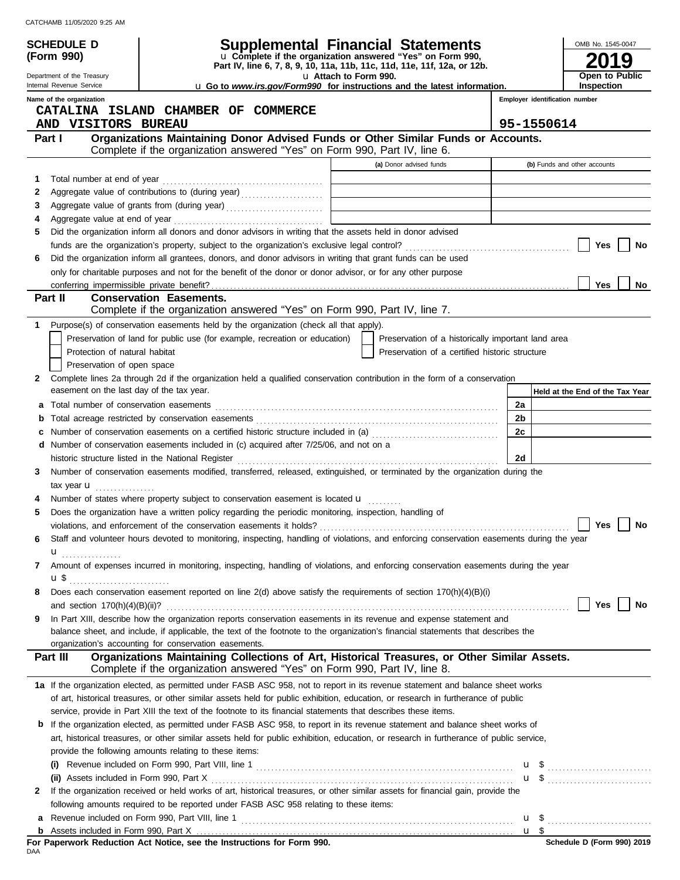| CATCHAMB 11/05/2020 9:25 AM |  |  |
|-----------------------------|--|--|
|                             |  |  |

**(Form 990)**

Department of the Treasury

# **SCHEDULE D Supplemental Financial Statements**

**Part IV, line 6, 7, 8, 9, 10, 11a, 11b, 11c, 11d, 11e, 11f, 12a, or 12b.** u **Complete if the organization answered "Yes" on Form 990,**

u **Attach to Form 990.**  u **Go to** *www.irs.gov/Form990* **for instructions and the latest information.**

**2019 Open to Public Inspection**

OMB No. 1545-0047

| Internal Revenue Service | u Go t |
|--------------------------|--------|
| Name of the organization |        |

**Employer identification number**

|              | CATALINA ISLAND CHAMBER OF COMMERCE<br>AND VISITORS BUREAU                                                                                                                                                                                               |  | 95-1550614                                         |    |                                 |  |  |  |
|--------------|----------------------------------------------------------------------------------------------------------------------------------------------------------------------------------------------------------------------------------------------------------|--|----------------------------------------------------|----|---------------------------------|--|--|--|
|              | Organizations Maintaining Donor Advised Funds or Other Similar Funds or Accounts.<br>Part I<br>Complete if the organization answered "Yes" on Form 990, Part IV, line 6.                                                                                 |  |                                                    |    |                                 |  |  |  |
|              |                                                                                                                                                                                                                                                          |  | (a) Donor advised funds                            |    | (b) Funds and other accounts    |  |  |  |
| 1.           |                                                                                                                                                                                                                                                          |  |                                                    |    |                                 |  |  |  |
| 2            | Aggregate value of contributions to (during year)                                                                                                                                                                                                        |  |                                                    |    |                                 |  |  |  |
| З            | Aggregate value of grants from (during year)                                                                                                                                                                                                             |  |                                                    |    |                                 |  |  |  |
| 4            |                                                                                                                                                                                                                                                          |  |                                                    |    |                                 |  |  |  |
| 5            | Did the organization inform all donors and donor advisors in writing that the assets held in donor advised                                                                                                                                               |  |                                                    |    |                                 |  |  |  |
|              |                                                                                                                                                                                                                                                          |  |                                                    |    | Yes<br>No                       |  |  |  |
| 6            | Did the organization inform all grantees, donors, and donor advisors in writing that grant funds can be used                                                                                                                                             |  |                                                    |    |                                 |  |  |  |
|              | only for charitable purposes and not for the benefit of the donor or donor advisor, or for any other purpose                                                                                                                                             |  |                                                    |    |                                 |  |  |  |
|              |                                                                                                                                                                                                                                                          |  |                                                    |    | Yes<br>No                       |  |  |  |
|              | <b>Conservation Easements.</b><br>Part II                                                                                                                                                                                                                |  |                                                    |    |                                 |  |  |  |
|              | Complete if the organization answered "Yes" on Form 990, Part IV, line 7.                                                                                                                                                                                |  |                                                    |    |                                 |  |  |  |
| 1            | Purpose(s) of conservation easements held by the organization (check all that apply).                                                                                                                                                                    |  |                                                    |    |                                 |  |  |  |
|              | Preservation of land for public use (for example, recreation or education)                                                                                                                                                                               |  | Preservation of a historically important land area |    |                                 |  |  |  |
|              | Protection of natural habitat                                                                                                                                                                                                                            |  | Preservation of a certified historic structure     |    |                                 |  |  |  |
|              | Preservation of open space                                                                                                                                                                                                                               |  |                                                    |    |                                 |  |  |  |
| $\mathbf{2}$ | Complete lines 2a through 2d if the organization held a qualified conservation contribution in the form of a conservation                                                                                                                                |  |                                                    |    |                                 |  |  |  |
|              | easement on the last day of the tax year.                                                                                                                                                                                                                |  |                                                    |    | Held at the End of the Tax Year |  |  |  |
| а            |                                                                                                                                                                                                                                                          |  |                                                    | 2a |                                 |  |  |  |
| b            |                                                                                                                                                                                                                                                          |  |                                                    | 2b |                                 |  |  |  |
| c            | Number of conservation easements on a certified historic structure included in (a) [11] Number of conservation easements on a certified historic structure included in (a)                                                                               |  |                                                    | 2c |                                 |  |  |  |
|              | <b>d</b> Number of conservation easements included in (c) acquired after $7/25/06$ , and not on a                                                                                                                                                        |  |                                                    |    |                                 |  |  |  |
|              |                                                                                                                                                                                                                                                          |  |                                                    | 2d |                                 |  |  |  |
| 3            | Number of conservation easements modified, transferred, released, extinguished, or terminated by the organization during the                                                                                                                             |  |                                                    |    |                                 |  |  |  |
|              | tax year $\mathbf u$                                                                                                                                                                                                                                     |  |                                                    |    |                                 |  |  |  |
|              | Number of states where property subject to conservation easement is located <b>u</b>                                                                                                                                                                     |  |                                                    |    |                                 |  |  |  |
| 5            | Does the organization have a written policy regarding the periodic monitoring, inspection, handling of                                                                                                                                                   |  |                                                    |    |                                 |  |  |  |
|              |                                                                                                                                                                                                                                                          |  |                                                    |    | Yes<br>No                       |  |  |  |
| 6            | Staff and volunteer hours devoted to monitoring, inspecting, handling of violations, and enforcing conservation easements during the year                                                                                                                |  |                                                    |    |                                 |  |  |  |
|              | $\mathbf{u}$ <sub></sub>                                                                                                                                                                                                                                 |  |                                                    |    |                                 |  |  |  |
| 7            | Amount of expenses incurred in monitoring, inspecting, handling of violations, and enforcing conservation easements during the year                                                                                                                      |  |                                                    |    |                                 |  |  |  |
|              | u \$                                                                                                                                                                                                                                                     |  |                                                    |    |                                 |  |  |  |
|              | Does each conservation easement reported on line 2(d) above satisfy the requirements of section 170(h)(4)(B)(i)                                                                                                                                          |  |                                                    |    |                                 |  |  |  |
|              |                                                                                                                                                                                                                                                          |  |                                                    |    | Yes<br>$\vert$   No             |  |  |  |
| 9            | In Part XIII, describe how the organization reports conservation easements in its revenue and expense statement and<br>balance sheet, and include, if applicable, the text of the footnote to the organization's financial statements that describes the |  |                                                    |    |                                 |  |  |  |
|              | organization's accounting for conservation easements.                                                                                                                                                                                                    |  |                                                    |    |                                 |  |  |  |
|              | Organizations Maintaining Collections of Art, Historical Treasures, or Other Similar Assets.<br>Part III                                                                                                                                                 |  |                                                    |    |                                 |  |  |  |
|              | Complete if the organization answered "Yes" on Form 990, Part IV, line 8.                                                                                                                                                                                |  |                                                    |    |                                 |  |  |  |
|              | 1a If the organization elected, as permitted under FASB ASC 958, not to report in its revenue statement and balance sheet works                                                                                                                          |  |                                                    |    |                                 |  |  |  |
|              | of art, historical treasures, or other similar assets held for public exhibition, education, or research in furtherance of public                                                                                                                        |  |                                                    |    |                                 |  |  |  |
|              | service, provide in Part XIII the text of the footnote to its financial statements that describes these items.                                                                                                                                           |  |                                                    |    |                                 |  |  |  |
|              | <b>b</b> If the organization elected, as permitted under FASB ASC 958, to report in its revenue statement and balance sheet works of                                                                                                                     |  |                                                    |    |                                 |  |  |  |
|              | art, historical treasures, or other similar assets held for public exhibition, education, or research in furtherance of public service,                                                                                                                  |  |                                                    |    |                                 |  |  |  |
|              | provide the following amounts relating to these items:                                                                                                                                                                                                   |  |                                                    |    |                                 |  |  |  |
|              |                                                                                                                                                                                                                                                          |  |                                                    |    |                                 |  |  |  |
|              |                                                                                                                                                                                                                                                          |  |                                                    |    |                                 |  |  |  |
| $\mathbf{2}$ | If the organization received or held works of art, historical treasures, or other similar assets for financial gain, provide the                                                                                                                         |  |                                                    |    |                                 |  |  |  |
|              | following amounts required to be reported under FASB ASC 958 relating to these items:                                                                                                                                                                    |  |                                                    |    |                                 |  |  |  |
|              |                                                                                                                                                                                                                                                          |  |                                                    |    | $\mathbf{u}$ \$                 |  |  |  |

|     |  | For Paperwork Reduction Act Notice, see the Instructions for Form 990. |  |  |  |  |  |  |  |
|-----|--|------------------------------------------------------------------------|--|--|--|--|--|--|--|
| DAA |  |                                                                        |  |  |  |  |  |  |  |

<u>u \$</u>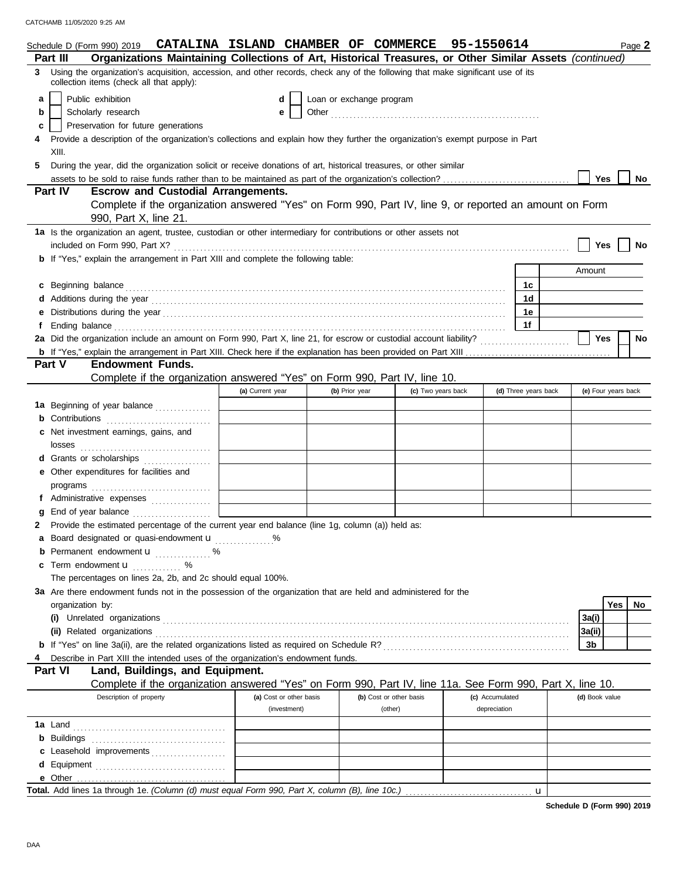|    | Schedule D (Form 990) 2019 CATALINA ISLAND CHAMBER OF COMMERCE                                                                                                                                                                       |                         |                          |                         | 95-1550614         |                      |                | Page 2              |
|----|--------------------------------------------------------------------------------------------------------------------------------------------------------------------------------------------------------------------------------------|-------------------------|--------------------------|-------------------------|--------------------|----------------------|----------------|---------------------|
|    | Organizations Maintaining Collections of Art, Historical Treasures, or Other Similar Assets (continued)<br>Part III                                                                                                                  |                         |                          |                         |                    |                      |                |                     |
|    | 3 Using the organization's acquisition, accession, and other records, check any of the following that make significant use of its<br>collection items (check all that apply):                                                        |                         |                          |                         |                    |                      |                |                     |
| a  | Public exhibition                                                                                                                                                                                                                    | d                       | Loan or exchange program |                         |                    |                      |                |                     |
| b  | Scholarly research                                                                                                                                                                                                                   | e                       |                          |                         |                    |                      |                |                     |
| c  | Preservation for future generations                                                                                                                                                                                                  |                         |                          |                         |                    |                      |                |                     |
|    | Provide a description of the organization's collections and explain how they further the organization's exempt purpose in Part                                                                                                       |                         |                          |                         |                    |                      |                |                     |
|    | XIII.                                                                                                                                                                                                                                |                         |                          |                         |                    |                      |                |                     |
|    |                                                                                                                                                                                                                                      |                         |                          |                         |                    |                      |                |                     |
| 5. | During the year, did the organization solicit or receive donations of art, historical treasures, or other similar                                                                                                                    |                         |                          |                         |                    |                      |                |                     |
|    |                                                                                                                                                                                                                                      |                         |                          |                         |                    |                      | <b>Yes</b>     | No                  |
|    | <b>Part IV</b><br><b>Escrow and Custodial Arrangements.</b>                                                                                                                                                                          |                         |                          |                         |                    |                      |                |                     |
|    | Complete if the organization answered "Yes" on Form 990, Part IV, line 9, or reported an amount on Form                                                                                                                              |                         |                          |                         |                    |                      |                |                     |
|    | 990, Part X, line 21.                                                                                                                                                                                                                |                         |                          |                         |                    |                      |                |                     |
|    | 1a Is the organization an agent, trustee, custodian or other intermediary for contributions or other assets not                                                                                                                      |                         |                          |                         |                    |                      |                |                     |
|    | included on Form 990, Part X?                                                                                                                                                                                                        |                         |                          |                         |                    |                      | Yes            | No                  |
|    | <b>b</b> If "Yes," explain the arrangement in Part XIII and complete the following table:                                                                                                                                            |                         |                          |                         |                    |                      |                |                     |
|    |                                                                                                                                                                                                                                      |                         |                          |                         |                    |                      | Amount         |                     |
|    | c Beginning balance <b>contract to the contract of the set of the contract of the contract of the contract of the contract of the contract of the contract of the contract of the contract of the contract of the contract of th</b> |                         |                          |                         |                    | 1c                   |                |                     |
|    |                                                                                                                                                                                                                                      |                         |                          |                         |                    | 1d                   |                |                     |
| е  |                                                                                                                                                                                                                                      |                         |                          |                         |                    | 1e                   |                |                     |
| f  | Ending balance <i>communication</i> and the contract of the contract of the contract of the contract of the contract of the contract of the contract of the contract of the contract of the contract of the contract of the contrac  |                         |                          |                         |                    | 1f                   |                |                     |
|    |                                                                                                                                                                                                                                      |                         |                          |                         |                    |                      | Yes            | <b>No</b>           |
|    |                                                                                                                                                                                                                                      |                         |                          |                         |                    |                      |                |                     |
|    | Part V<br><b>Endowment Funds.</b>                                                                                                                                                                                                    |                         |                          |                         |                    |                      |                |                     |
|    | Complete if the organization answered "Yes" on Form 990, Part IV, line 10.                                                                                                                                                           |                         |                          |                         |                    |                      |                |                     |
|    |                                                                                                                                                                                                                                      | (a) Current year        | (b) Prior year           |                         | (c) Two years back | (d) Three years back |                | (e) Four years back |
|    | 1a Beginning of year balance                                                                                                                                                                                                         |                         |                          |                         |                    |                      |                |                     |
|    | <b>b</b> Contributions <b>contributions</b>                                                                                                                                                                                          |                         |                          |                         |                    |                      |                |                     |
|    | Net investment earnings, gains, and                                                                                                                                                                                                  |                         |                          |                         |                    |                      |                |                     |
|    |                                                                                                                                                                                                                                      |                         |                          |                         |                    |                      |                |                     |
|    | d Grants or scholarships                                                                                                                                                                                                             |                         |                          |                         |                    |                      |                |                     |
|    | e Other expenditures for facilities and                                                                                                                                                                                              |                         |                          |                         |                    |                      |                |                     |
|    |                                                                                                                                                                                                                                      |                         |                          |                         |                    |                      |                |                     |
|    | f Administrative expenses                                                                                                                                                                                                            |                         |                          |                         |                    |                      |                |                     |
|    | g End of year balance                                                                                                                                                                                                                |                         |                          |                         |                    |                      |                |                     |
|    | Provide the estimated percentage of the current year end balance (line 1g, column (a)) held as:                                                                                                                                      |                         |                          |                         |                    |                      |                |                     |
|    | Board designated or quasi-endowment u %                                                                                                                                                                                              |                         |                          |                         |                    |                      |                |                     |
|    | <b>b</b> Permanent endowment <b>u</b> %                                                                                                                                                                                              |                         |                          |                         |                    |                      |                |                     |
|    | Term endowment <b>u</b>                                                                                                                                                                                                              |                         |                          |                         |                    |                      |                |                     |
|    | The percentages on lines 2a, 2b, and 2c should equal 100%.                                                                                                                                                                           |                         |                          |                         |                    |                      |                |                     |
|    | 3a Are there endowment funds not in the possession of the organization that are held and administered for the                                                                                                                        |                         |                          |                         |                    |                      |                |                     |
|    | organization by:                                                                                                                                                                                                                     |                         |                          |                         |                    |                      |                | <b>Yes</b><br>No    |
|    |                                                                                                                                                                                                                                      |                         |                          |                         |                    |                      | 3a(i)          |                     |
|    |                                                                                                                                                                                                                                      |                         |                          |                         |                    |                      | 3a(ii)         |                     |
|    |                                                                                                                                                                                                                                      |                         |                          |                         |                    |                      | 3b             |                     |
|    |                                                                                                                                                                                                                                      |                         |                          |                         |                    |                      |                |                     |
|    | Describe in Part XIII the intended uses of the organization's endowment funds.<br>Part VI                                                                                                                                            |                         |                          |                         |                    |                      |                |                     |
|    | Land, Buildings, and Equipment.                                                                                                                                                                                                      |                         |                          |                         |                    |                      |                |                     |
|    | Complete if the organization answered "Yes" on Form 990, Part IV, line 11a. See Form 990, Part X, line 10.                                                                                                                           |                         |                          |                         |                    |                      |                |                     |
|    | Description of property                                                                                                                                                                                                              | (a) Cost or other basis |                          | (b) Cost or other basis | (c) Accumulated    |                      | (d) Book value |                     |
|    |                                                                                                                                                                                                                                      | (investment)            |                          | (other)                 | depreciation       |                      |                |                     |
|    |                                                                                                                                                                                                                                      |                         |                          |                         |                    |                      |                |                     |
|    | <b>b</b> Buildings                                                                                                                                                                                                                   |                         |                          |                         |                    |                      |                |                     |
|    | c Leasehold improvements                                                                                                                                                                                                             |                         |                          |                         |                    |                      |                |                     |
|    |                                                                                                                                                                                                                                      |                         |                          |                         |                    |                      |                |                     |
|    |                                                                                                                                                                                                                                      |                         |                          |                         |                    |                      |                |                     |
|    |                                                                                                                                                                                                                                      |                         |                          |                         |                    | $\mathbf u$          |                |                     |

**Schedule D (Form 990) 2019**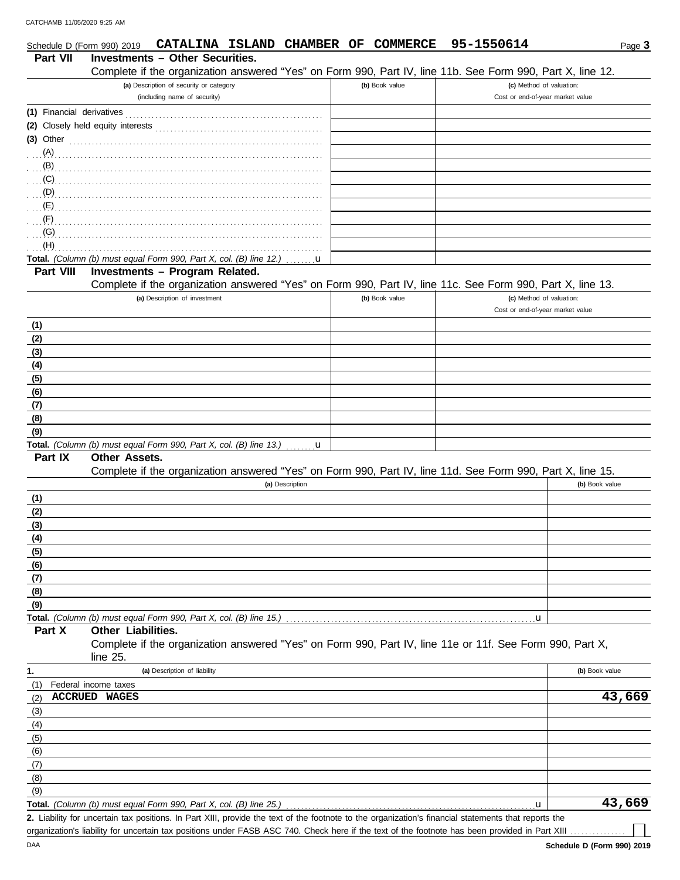| Schedule D (Form 990) 2019 | CATALINA ISLAND CHAMBER OF                                                                                                                           | <b>COMMERCE</b> | 95-1550614                                                   | Page 3         |
|----------------------------|------------------------------------------------------------------------------------------------------------------------------------------------------|-----------------|--------------------------------------------------------------|----------------|
| <b>Part VII</b>            | <b>Investments - Other Securities.</b>                                                                                                               |                 |                                                              |                |
|                            | Complete if the organization answered "Yes" on Form 990, Part IV, line 11b. See Form 990, Part X, line 12.                                           |                 |                                                              |                |
|                            | (a) Description of security or category<br>(including name of security)                                                                              | (b) Book value  | (c) Method of valuation:<br>Cost or end-of-year market value |                |
|                            |                                                                                                                                                      |                 |                                                              |                |
|                            | (2) Closely held equity interests                                                                                                                    |                 |                                                              |                |
| $(3)$ Other                |                                                                                                                                                      |                 |                                                              |                |
| (A)                        |                                                                                                                                                      |                 |                                                              |                |
| (B)                        |                                                                                                                                                      |                 |                                                              |                |
| (C)                        |                                                                                                                                                      |                 |                                                              |                |
| (D)                        |                                                                                                                                                      |                 |                                                              |                |
| (E)                        |                                                                                                                                                      |                 |                                                              |                |
| (F)                        |                                                                                                                                                      |                 |                                                              |                |
| (G)<br>(H)                 |                                                                                                                                                      |                 |                                                              |                |
|                            | Total. (Column (b) must equal Form 990, Part X, col. (B) line 12.)<br>u                                                                              |                 |                                                              |                |
| Part VIII                  | Investments - Program Related.                                                                                                                       |                 |                                                              |                |
|                            | Complete if the organization answered "Yes" on Form 990, Part IV, line 11c. See Form 990, Part X, line 13.                                           |                 |                                                              |                |
|                            | (a) Description of investment                                                                                                                        | (b) Book value  | (c) Method of valuation:                                     |                |
|                            |                                                                                                                                                      |                 | Cost or end-of-year market value                             |                |
| (1)                        |                                                                                                                                                      |                 |                                                              |                |
| (2)                        |                                                                                                                                                      |                 |                                                              |                |
| (3)                        |                                                                                                                                                      |                 |                                                              |                |
| (4)                        |                                                                                                                                                      |                 |                                                              |                |
| (5)                        |                                                                                                                                                      |                 |                                                              |                |
| (6)                        |                                                                                                                                                      |                 |                                                              |                |
| (7)                        |                                                                                                                                                      |                 |                                                              |                |
| (8)                        |                                                                                                                                                      |                 |                                                              |                |
| (9)                        | Total. (Column (b) must equal Form 990, Part X, col. (B) line 13.)<br>$\mathbf{u}$                                                                   |                 |                                                              |                |
| Part IX                    | <b>Other Assets.</b>                                                                                                                                 |                 |                                                              |                |
|                            | Complete if the organization answered "Yes" on Form 990, Part IV, line 11d. See Form 990, Part X, line 15.                                           |                 |                                                              |                |
|                            | (a) Description                                                                                                                                      |                 |                                                              | (b) Book value |
| (1)                        |                                                                                                                                                      |                 |                                                              |                |
| (2)                        |                                                                                                                                                      |                 |                                                              |                |
| (3)                        |                                                                                                                                                      |                 |                                                              |                |
| <u>(4)</u>                 |                                                                                                                                                      |                 |                                                              |                |
| (5)                        |                                                                                                                                                      |                 |                                                              |                |
| (6)                        |                                                                                                                                                      |                 |                                                              |                |
| (7)                        |                                                                                                                                                      |                 |                                                              |                |
| (8)<br>(9)                 |                                                                                                                                                      |                 |                                                              |                |
|                            | Total. (Column (b) must equal Form 990, Part X, col. (B) line 15.)                                                                                   |                 | u,                                                           |                |
| Part X                     | Other Liabilities.                                                                                                                                   |                 |                                                              |                |
|                            | Complete if the organization answered "Yes" on Form 990, Part IV, line 11e or 11f. See Form 990, Part X,<br>line 25.                                 |                 |                                                              |                |
| 1.                         | (a) Description of liability                                                                                                                         |                 |                                                              | (b) Book value |
| (1)                        | Federal income taxes                                                                                                                                 |                 |                                                              |                |
| (2)                        | <b>ACCRUED WAGES</b>                                                                                                                                 |                 |                                                              | 43,669         |
| (3)                        |                                                                                                                                                      |                 |                                                              |                |
| (4)                        |                                                                                                                                                      |                 |                                                              |                |
| (5)                        |                                                                                                                                                      |                 |                                                              |                |
| (6)                        |                                                                                                                                                      |                 |                                                              |                |
| (7)                        |                                                                                                                                                      |                 |                                                              |                |
| (8)<br>(9)                 |                                                                                                                                                      |                 |                                                              |                |
|                            | Total. (Column (b) must equal Form 990, Part X, col. (B) line 25.)                                                                                   |                 | u                                                            | 43,669         |
|                            | 2. Liability for uncertain tax positions. In Part XIII, provide the text of the footnote to the organization's financial statements that reports the |                 |                                                              |                |

organization's liability for uncertain tax positions under FASB ASC 740. Check here if the text of the footnote has been provided in Part XIII ...

┓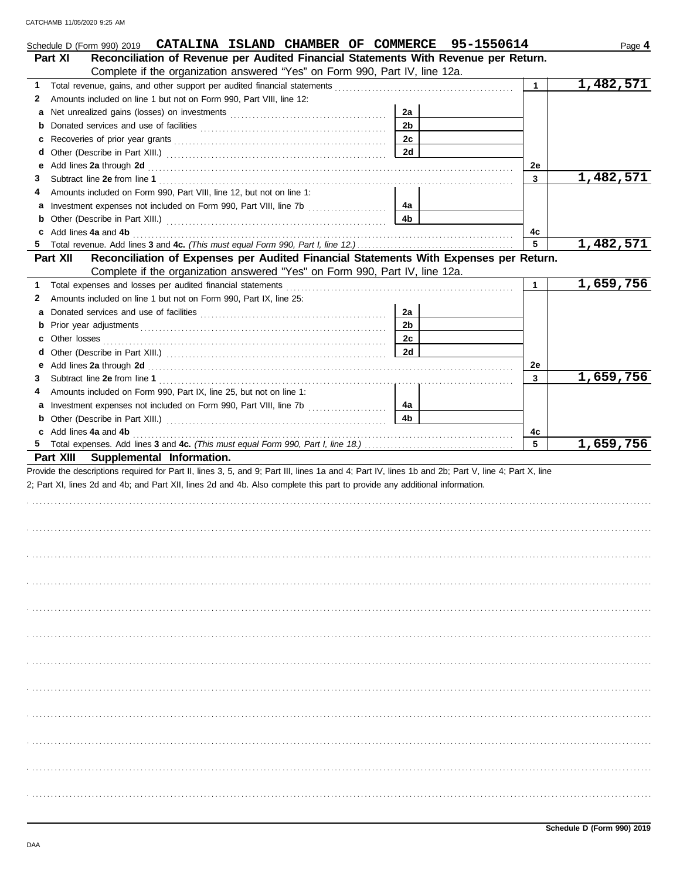|   | Schedule D (Form 990) 2019 CATALINA ISLAND CHAMBER OF COMMERCE 95-1550614                                                                                                                                                                                                       |                |              | Page 4    |
|---|---------------------------------------------------------------------------------------------------------------------------------------------------------------------------------------------------------------------------------------------------------------------------------|----------------|--------------|-----------|
|   | Reconciliation of Revenue per Audited Financial Statements With Revenue per Return.<br>Part XI                                                                                                                                                                                  |                |              |           |
|   | Complete if the organization answered "Yes" on Form 990, Part IV, line 12a.                                                                                                                                                                                                     |                |              |           |
| 1 | Total revenue, gains, and other support per audited financial statements                                                                                                                                                                                                        |                | $\mathbf{1}$ | 1,482,571 |
| 2 | Amounts included on line 1 but not on Form 990, Part VIII, line 12:                                                                                                                                                                                                             |                |              |           |
| а |                                                                                                                                                                                                                                                                                 | 2a             |              |           |
| b |                                                                                                                                                                                                                                                                                 | 2 <sub>b</sub> |              |           |
| c |                                                                                                                                                                                                                                                                                 | 2c             |              |           |
| d |                                                                                                                                                                                                                                                                                 | <b>2d</b>      |              |           |
| е |                                                                                                                                                                                                                                                                                 |                | 2e           |           |
| 3 |                                                                                                                                                                                                                                                                                 |                | 3            | 1,482,571 |
|   | Amounts included on Form 990, Part VIII, line 12, but not on line 1:                                                                                                                                                                                                            |                |              |           |
|   |                                                                                                                                                                                                                                                                                 | 4а             |              |           |
| b |                                                                                                                                                                                                                                                                                 | 4b             |              |           |
|   | c Add lines 4a and 4b                                                                                                                                                                                                                                                           |                | 4c           |           |
|   |                                                                                                                                                                                                                                                                                 |                | 5            | 1,482,571 |
|   | Reconciliation of Expenses per Audited Financial Statements With Expenses per Return.<br>Part XII                                                                                                                                                                               |                |              |           |
|   | Complete if the organization answered "Yes" on Form 990, Part IV, line 12a.                                                                                                                                                                                                     |                |              |           |
| 1 | Total expenses and losses per audited financial statements                                                                                                                                                                                                                      |                | 1            | 1,659,756 |
| 2 | Amounts included on line 1 but not on Form 990, Part IX, line 25:                                                                                                                                                                                                               |                |              |           |
| а |                                                                                                                                                                                                                                                                                 | 2a             |              |           |
|   |                                                                                                                                                                                                                                                                                 | 2 <sub>b</sub> |              |           |
| c | Other losses                                                                                                                                                                                                                                                                    | 2c             |              |           |
| d |                                                                                                                                                                                                                                                                                 | 2d             |              |           |
| е | Add lines 2a through 2d [11, 12] Add [12] Add lines 2a through 2d [12] Add lines 2a through 2d [12] Add lines 20 through 2d [12] Add and the set of the set of the set of the set of the set of the set of the set of the set                                                   |                | 2e           |           |
| 3 |                                                                                                                                                                                                                                                                                 |                | 3            | 1,659,756 |
| 4 | Amounts included on Form 990, Part IX, line 25, but not on line 1:                                                                                                                                                                                                              |                |              |           |
| a |                                                                                                                                                                                                                                                                                 | 4а             |              |           |
|   | <b>b</b> Other (Describe in Part XIII.) <b>CONSIDENT</b> 2014 11: <b>DESCRIPTION 2014</b> 12: <b>CONSIDENT</b> 2014 12: <b>CONSIDENT</b> 2014 12: <b>CONSIDENT</b> 2014 12: <b>CONSIDENT</b> 2014 12: <b>CONSIDENT</b> 2014 12: <b>CONSIDENT</b> 2014 12: <b>CONSIDENT</b> 2014 | 4b             |              |           |
|   | c Add lines 4a and 4b                                                                                                                                                                                                                                                           |                | 4c           |           |
|   |                                                                                                                                                                                                                                                                                 |                | 5            | 1,659,756 |
|   | Part XIII Supplemental Information.                                                                                                                                                                                                                                             |                |              |           |
|   | Provide the descriptions required for Part II, lines 3, 5, and 9; Part III, lines 1a and 4; Part IV, lines 1b and 2b; Part V, line 4; Part X, line                                                                                                                              |                |              |           |
|   | 2; Part XI, lines 2d and 4b; and Part XII, lines 2d and 4b. Also complete this part to provide any additional information.                                                                                                                                                      |                |              |           |
|   |                                                                                                                                                                                                                                                                                 |                |              |           |
|   |                                                                                                                                                                                                                                                                                 |                |              |           |
|   |                                                                                                                                                                                                                                                                                 |                |              |           |
|   |                                                                                                                                                                                                                                                                                 |                |              |           |
|   |                                                                                                                                                                                                                                                                                 |                |              |           |
|   |                                                                                                                                                                                                                                                                                 |                |              |           |
|   |                                                                                                                                                                                                                                                                                 |                |              |           |
|   |                                                                                                                                                                                                                                                                                 |                |              |           |
|   |                                                                                                                                                                                                                                                                                 |                |              |           |
|   |                                                                                                                                                                                                                                                                                 |                |              |           |
|   |                                                                                                                                                                                                                                                                                 |                |              |           |
|   |                                                                                                                                                                                                                                                                                 |                |              |           |
|   |                                                                                                                                                                                                                                                                                 |                |              |           |
|   |                                                                                                                                                                                                                                                                                 |                |              |           |
|   |                                                                                                                                                                                                                                                                                 |                |              |           |
|   |                                                                                                                                                                                                                                                                                 |                |              |           |
|   |                                                                                                                                                                                                                                                                                 |                |              |           |
|   |                                                                                                                                                                                                                                                                                 |                |              |           |
|   |                                                                                                                                                                                                                                                                                 |                |              |           |
|   |                                                                                                                                                                                                                                                                                 |                |              |           |
|   |                                                                                                                                                                                                                                                                                 |                |              |           |
|   |                                                                                                                                                                                                                                                                                 |                |              |           |
|   |                                                                                                                                                                                                                                                                                 |                |              |           |
|   |                                                                                                                                                                                                                                                                                 |                |              |           |
|   |                                                                                                                                                                                                                                                                                 |                |              |           |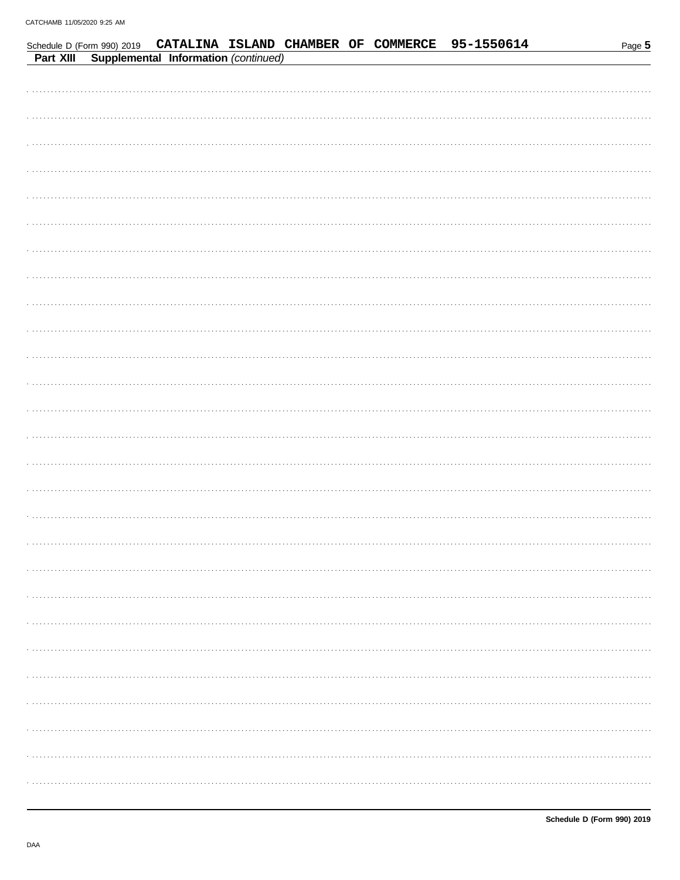| Part XIII | Supplemental Information (continued) |  |  | Schedule D (Form 990) 2019 CATALINA ISLAND CHAMBER OF COMMERCE 95-1550614 | Page 5 |
|-----------|--------------------------------------|--|--|---------------------------------------------------------------------------|--------|
|           |                                      |  |  |                                                                           |        |
|           |                                      |  |  |                                                                           |        |
|           |                                      |  |  |                                                                           |        |
|           |                                      |  |  |                                                                           |        |
|           |                                      |  |  |                                                                           |        |
|           |                                      |  |  |                                                                           |        |
|           |                                      |  |  |                                                                           |        |
|           |                                      |  |  |                                                                           |        |
|           |                                      |  |  |                                                                           |        |
|           |                                      |  |  |                                                                           |        |
|           |                                      |  |  |                                                                           |        |
|           |                                      |  |  |                                                                           |        |
|           |                                      |  |  |                                                                           |        |
|           |                                      |  |  |                                                                           |        |
|           |                                      |  |  |                                                                           |        |
|           |                                      |  |  |                                                                           |        |
|           |                                      |  |  |                                                                           |        |
|           |                                      |  |  |                                                                           |        |
|           |                                      |  |  |                                                                           |        |
|           |                                      |  |  |                                                                           |        |
|           |                                      |  |  |                                                                           |        |
|           |                                      |  |  |                                                                           |        |
|           |                                      |  |  |                                                                           |        |
|           |                                      |  |  |                                                                           |        |
|           |                                      |  |  |                                                                           |        |
|           |                                      |  |  |                                                                           |        |
|           |                                      |  |  |                                                                           |        |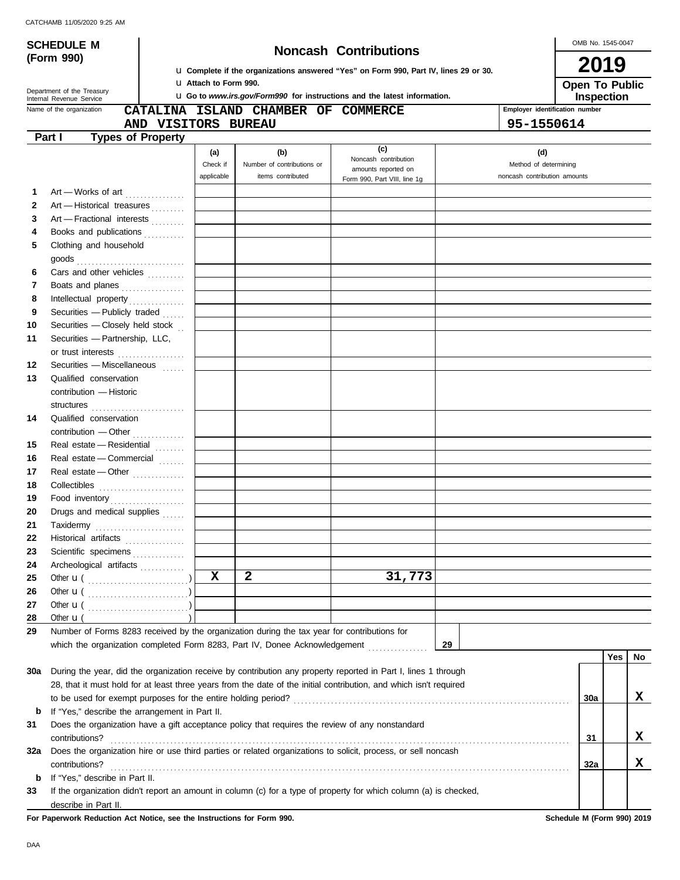OMB No. 1545-0047

| <b>SCHEDULE M</b> |                                                                                                                                                                                                                                                                                                                                                                                                                                                                                        |                          |                               |                                                                                                 |                                                                                                                    | OMB No. 1545-0047                                            |                                |     |    |  |  |
|-------------------|----------------------------------------------------------------------------------------------------------------------------------------------------------------------------------------------------------------------------------------------------------------------------------------------------------------------------------------------------------------------------------------------------------------------------------------------------------------------------------------|--------------------------|-------------------------------|-------------------------------------------------------------------------------------------------|--------------------------------------------------------------------------------------------------------------------|--------------------------------------------------------------|--------------------------------|-----|----|--|--|
|                   | (Form 990)                                                                                                                                                                                                                                                                                                                                                                                                                                                                             |                          |                               | <b>Noncash Contributions</b>                                                                    |                                                                                                                    |                                                              |                                |     |    |  |  |
|                   |                                                                                                                                                                                                                                                                                                                                                                                                                                                                                        |                          |                               |                                                                                                 | <b>u</b> Complete if the organizations answered "Yes" on Form 990, Part IV, lines 29 or 30.                        |                                                              | 2019                           |     |    |  |  |
|                   | Department of the Treasury                                                                                                                                                                                                                                                                                                                                                                                                                                                             |                          | <b>U</b> Attach to Form 990.  | Open To Public<br>Inspection                                                                    |                                                                                                                    |                                                              |                                |     |    |  |  |
|                   | Internal Revenue Service<br>Name of the organization                                                                                                                                                                                                                                                                                                                                                                                                                                   |                          |                               |                                                                                                 | <b>u</b> Go to www.irs.gov/Form990 for instructions and the latest information.                                    |                                                              | Employer identification number |     |    |  |  |
|                   |                                                                                                                                                                                                                                                                                                                                                                                                                                                                                        | AND VISITORS BUREAU      |                               | CATALINA ISLAND CHAMBER OF COMMERCE                                                             |                                                                                                                    | 95-1550614                                                   |                                |     |    |  |  |
|                   | Part I                                                                                                                                                                                                                                                                                                                                                                                                                                                                                 | <b>Types of Property</b> |                               |                                                                                                 |                                                                                                                    |                                                              |                                |     |    |  |  |
|                   |                                                                                                                                                                                                                                                                                                                                                                                                                                                                                        |                          |                               |                                                                                                 | (c)                                                                                                                |                                                              |                                |     |    |  |  |
|                   |                                                                                                                                                                                                                                                                                                                                                                                                                                                                                        |                          | (a)<br>Check if<br>applicable | (b)<br>Number of contributions or<br>items contributed                                          | Noncash contribution<br>amounts reported on<br>Form 990, Part VIII, line 1g                                        | (d)<br>Method of determining<br>noncash contribution amounts |                                |     |    |  |  |
| 1                 | Art - Works of art                                                                                                                                                                                                                                                                                                                                                                                                                                                                     |                          |                               |                                                                                                 |                                                                                                                    |                                                              |                                |     |    |  |  |
| 2                 | Art - Historical treasures                                                                                                                                                                                                                                                                                                                                                                                                                                                             |                          |                               |                                                                                                 |                                                                                                                    |                                                              |                                |     |    |  |  |
| 3                 | Art - Fractional interests                                                                                                                                                                                                                                                                                                                                                                                                                                                             |                          |                               |                                                                                                 |                                                                                                                    |                                                              |                                |     |    |  |  |
| 4                 | Books and publications                                                                                                                                                                                                                                                                                                                                                                                                                                                                 |                          |                               |                                                                                                 |                                                                                                                    |                                                              |                                |     |    |  |  |
| 5                 | Clothing and household                                                                                                                                                                                                                                                                                                                                                                                                                                                                 |                          |                               |                                                                                                 |                                                                                                                    |                                                              |                                |     |    |  |  |
|                   |                                                                                                                                                                                                                                                                                                                                                                                                                                                                                        |                          |                               |                                                                                                 |                                                                                                                    |                                                              |                                |     |    |  |  |
| 6                 | Cars and other vehicles                                                                                                                                                                                                                                                                                                                                                                                                                                                                |                          |                               |                                                                                                 |                                                                                                                    |                                                              |                                |     |    |  |  |
| 7                 | Boats and planes                                                                                                                                                                                                                                                                                                                                                                                                                                                                       |                          |                               |                                                                                                 |                                                                                                                    |                                                              |                                |     |    |  |  |
| 8                 |                                                                                                                                                                                                                                                                                                                                                                                                                                                                                        |                          |                               |                                                                                                 |                                                                                                                    |                                                              |                                |     |    |  |  |
| 9                 | Securities - Publicly traded                                                                                                                                                                                                                                                                                                                                                                                                                                                           |                          |                               |                                                                                                 |                                                                                                                    |                                                              |                                |     |    |  |  |
| 10                | Securities - Closely held stock                                                                                                                                                                                                                                                                                                                                                                                                                                                        |                          |                               |                                                                                                 |                                                                                                                    |                                                              |                                |     |    |  |  |
| 11                | Securities - Partnership, LLC,                                                                                                                                                                                                                                                                                                                                                                                                                                                         |                          |                               |                                                                                                 |                                                                                                                    |                                                              |                                |     |    |  |  |
|                   | or trust interests                                                                                                                                                                                                                                                                                                                                                                                                                                                                     |                          |                               |                                                                                                 |                                                                                                                    |                                                              |                                |     |    |  |  |
| 12                | Securities - Miscellaneous                                                                                                                                                                                                                                                                                                                                                                                                                                                             |                          |                               |                                                                                                 |                                                                                                                    |                                                              |                                |     |    |  |  |
| 13                | Qualified conservation                                                                                                                                                                                                                                                                                                                                                                                                                                                                 |                          |                               |                                                                                                 |                                                                                                                    |                                                              |                                |     |    |  |  |
|                   | contribution - Historic                                                                                                                                                                                                                                                                                                                                                                                                                                                                |                          |                               |                                                                                                 |                                                                                                                    |                                                              |                                |     |    |  |  |
|                   |                                                                                                                                                                                                                                                                                                                                                                                                                                                                                        |                          |                               |                                                                                                 |                                                                                                                    |                                                              |                                |     |    |  |  |
| 14                | Qualified conservation                                                                                                                                                                                                                                                                                                                                                                                                                                                                 |                          |                               |                                                                                                 |                                                                                                                    |                                                              |                                |     |    |  |  |
|                   | contribution - Other                                                                                                                                                                                                                                                                                                                                                                                                                                                                   |                          |                               |                                                                                                 |                                                                                                                    |                                                              |                                |     |    |  |  |
| 15                | Real estate - Residential                                                                                                                                                                                                                                                                                                                                                                                                                                                              |                          |                               |                                                                                                 |                                                                                                                    |                                                              |                                |     |    |  |  |
| 16                | Real estate - Commercial                                                                                                                                                                                                                                                                                                                                                                                                                                                               |                          |                               |                                                                                                 |                                                                                                                    |                                                              |                                |     |    |  |  |
| 17                | Real estate - Other                                                                                                                                                                                                                                                                                                                                                                                                                                                                    |                          |                               |                                                                                                 |                                                                                                                    |                                                              |                                |     |    |  |  |
| 18                |                                                                                                                                                                                                                                                                                                                                                                                                                                                                                        |                          |                               |                                                                                                 |                                                                                                                    |                                                              |                                |     |    |  |  |
| 19                | Food inventory                                                                                                                                                                                                                                                                                                                                                                                                                                                                         |                          |                               |                                                                                                 |                                                                                                                    |                                                              |                                |     |    |  |  |
| 20                | Drugs and medical supplies                                                                                                                                                                                                                                                                                                                                                                                                                                                             |                          |                               |                                                                                                 |                                                                                                                    |                                                              |                                |     |    |  |  |
| 21                | $\begin{minipage}[c]{0.9\linewidth} \textbf{Taxidermy} \end{minipage}[t]{\label{eq:axidermy} \begin{minipage}[c]{0.9\linewidth} \textbf{Taxidermy} \end{minipage}[t]{\label{eq:axidermy} \begin{minipage}[c]{0.9\linewidth} \textbf{Taxidermy} \end{minipage}[t]{\label{eq:axidermy} \begin{minipage}[c]{0.9\linewidth} \textbf{Cov} \end{minipage}[t]{\label{eq:axidermy} \begin{minipage}[c]{0.9\linewidth} \textbf{Cov} \end{minipage}[t]{\label{eq:axidermy} \begin{minipage}[c]{$ |                          |                               |                                                                                                 |                                                                                                                    |                                                              |                                |     |    |  |  |
| 22                | Historical artifacts                                                                                                                                                                                                                                                                                                                                                                                                                                                                   |                          |                               |                                                                                                 |                                                                                                                    |                                                              |                                |     |    |  |  |
| 23                | Scientific specimens                                                                                                                                                                                                                                                                                                                                                                                                                                                                   |                          |                               |                                                                                                 |                                                                                                                    |                                                              |                                |     |    |  |  |
| 24                | Archeological artifacts                                                                                                                                                                                                                                                                                                                                                                                                                                                                |                          |                               |                                                                                                 |                                                                                                                    |                                                              |                                |     |    |  |  |
| 25                |                                                                                                                                                                                                                                                                                                                                                                                                                                                                                        |                          | X                             | $\mathbf{2}$                                                                                    | 31,773                                                                                                             |                                                              |                                |     |    |  |  |
| 26                |                                                                                                                                                                                                                                                                                                                                                                                                                                                                                        |                          |                               |                                                                                                 |                                                                                                                    |                                                              |                                |     |    |  |  |
| 27                |                                                                                                                                                                                                                                                                                                                                                                                                                                                                                        |                          |                               |                                                                                                 |                                                                                                                    |                                                              |                                |     |    |  |  |
| 28                | Other $\mathbf{u}$ (                                                                                                                                                                                                                                                                                                                                                                                                                                                                   |                          |                               |                                                                                                 |                                                                                                                    |                                                              |                                |     |    |  |  |
| 29                |                                                                                                                                                                                                                                                                                                                                                                                                                                                                                        |                          |                               | Number of Forms 8283 received by the organization during the tax year for contributions for     |                                                                                                                    |                                                              |                                |     |    |  |  |
|                   |                                                                                                                                                                                                                                                                                                                                                                                                                                                                                        |                          |                               | which the organization completed Form 8283, Part IV, Donee Acknowledgement [ [ [ [ [ ] ] ]      |                                                                                                                    | 29                                                           |                                |     |    |  |  |
|                   |                                                                                                                                                                                                                                                                                                                                                                                                                                                                                        |                          |                               |                                                                                                 |                                                                                                                    |                                                              |                                | Yes | No |  |  |
| 30a               |                                                                                                                                                                                                                                                                                                                                                                                                                                                                                        |                          |                               |                                                                                                 | During the year, did the organization receive by contribution any property reported in Part I, lines 1 through     |                                                              |                                |     |    |  |  |
|                   |                                                                                                                                                                                                                                                                                                                                                                                                                                                                                        |                          |                               |                                                                                                 | 28, that it must hold for at least three years from the date of the initial contribution, and which isn't required |                                                              |                                |     |    |  |  |
|                   |                                                                                                                                                                                                                                                                                                                                                                                                                                                                                        |                          |                               |                                                                                                 |                                                                                                                    |                                                              | <b>30a</b>                     |     | X  |  |  |
| b                 | If "Yes," describe the arrangement in Part II.                                                                                                                                                                                                                                                                                                                                                                                                                                         |                          |                               |                                                                                                 |                                                                                                                    |                                                              |                                |     |    |  |  |
| 31                |                                                                                                                                                                                                                                                                                                                                                                                                                                                                                        |                          |                               | Does the organization have a gift acceptance policy that requires the review of any nonstandard |                                                                                                                    |                                                              |                                |     |    |  |  |
|                   | contributions?                                                                                                                                                                                                                                                                                                                                                                                                                                                                         |                          |                               |                                                                                                 |                                                                                                                    |                                                              | 31                             |     | X  |  |  |
| 32a               |                                                                                                                                                                                                                                                                                                                                                                                                                                                                                        |                          |                               |                                                                                                 | Does the organization hire or use third parties or related organizations to solicit, process, or sell noncash      |                                                              |                                |     |    |  |  |
|                   | contributions?                                                                                                                                                                                                                                                                                                                                                                                                                                                                         |                          |                               |                                                                                                 |                                                                                                                    |                                                              | 32a                            |     | X  |  |  |
| b                 | If "Yes," describe in Part II.                                                                                                                                                                                                                                                                                                                                                                                                                                                         |                          |                               |                                                                                                 |                                                                                                                    |                                                              |                                |     |    |  |  |
| 33                |                                                                                                                                                                                                                                                                                                                                                                                                                                                                                        |                          |                               |                                                                                                 | If the organization didn't report an amount in column (c) for a type of property for which column (a) is checked,  |                                                              |                                |     |    |  |  |
|                   | describe in Part II.                                                                                                                                                                                                                                                                                                                                                                                                                                                                   |                          |                               |                                                                                                 |                                                                                                                    |                                                              |                                |     |    |  |  |

**For Paperwork Reduction Act Notice, see the Instructions for Form 990. Schedule M (Form 990) 2019**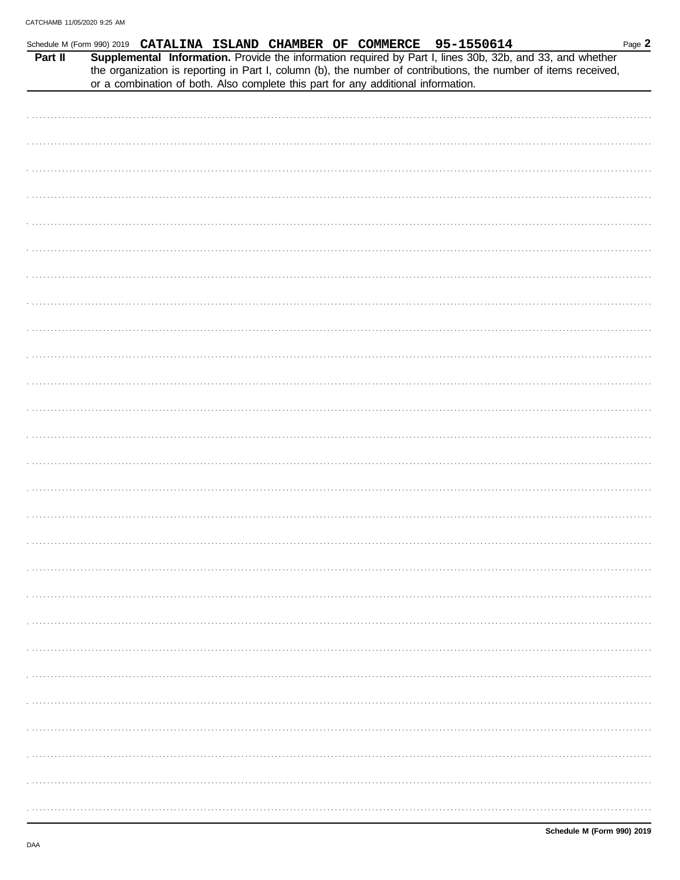|         | Schedule M (Form 990) 2019 CATALINA ISLAND CHAMBER OF COMMERCE 95-1550614                                                                                                                                                    |  |  |  | Page 2 |
|---------|------------------------------------------------------------------------------------------------------------------------------------------------------------------------------------------------------------------------------|--|--|--|--------|
| Part II | Supplemental Information. Provide the information required by Part I, lines 30b, 32b, and 33, and whether<br>the organization is reporting in Part I, column (b), the number of contributions, the number of items received, |  |  |  |        |
|         | or a combination of both. Also complete this part for any additional information.                                                                                                                                            |  |  |  |        |
|         |                                                                                                                                                                                                                              |  |  |  |        |
|         |                                                                                                                                                                                                                              |  |  |  |        |
|         |                                                                                                                                                                                                                              |  |  |  |        |
|         |                                                                                                                                                                                                                              |  |  |  |        |
|         |                                                                                                                                                                                                                              |  |  |  |        |
|         |                                                                                                                                                                                                                              |  |  |  |        |
|         |                                                                                                                                                                                                                              |  |  |  |        |
|         |                                                                                                                                                                                                                              |  |  |  |        |
|         |                                                                                                                                                                                                                              |  |  |  |        |
|         |                                                                                                                                                                                                                              |  |  |  |        |
|         |                                                                                                                                                                                                                              |  |  |  |        |
|         |                                                                                                                                                                                                                              |  |  |  |        |
|         |                                                                                                                                                                                                                              |  |  |  |        |
|         |                                                                                                                                                                                                                              |  |  |  |        |
|         |                                                                                                                                                                                                                              |  |  |  |        |
|         |                                                                                                                                                                                                                              |  |  |  |        |
|         |                                                                                                                                                                                                                              |  |  |  |        |
|         |                                                                                                                                                                                                                              |  |  |  |        |
|         |                                                                                                                                                                                                                              |  |  |  |        |
|         |                                                                                                                                                                                                                              |  |  |  |        |
|         |                                                                                                                                                                                                                              |  |  |  |        |
|         |                                                                                                                                                                                                                              |  |  |  |        |
|         |                                                                                                                                                                                                                              |  |  |  |        |
|         |                                                                                                                                                                                                                              |  |  |  |        |
|         |                                                                                                                                                                                                                              |  |  |  |        |
|         |                                                                                                                                                                                                                              |  |  |  |        |
|         |                                                                                                                                                                                                                              |  |  |  |        |
|         |                                                                                                                                                                                                                              |  |  |  |        |
|         |                                                                                                                                                                                                                              |  |  |  |        |
|         |                                                                                                                                                                                                                              |  |  |  |        |
|         |                                                                                                                                                                                                                              |  |  |  |        |
|         |                                                                                                                                                                                                                              |  |  |  |        |
|         |                                                                                                                                                                                                                              |  |  |  |        |
|         |                                                                                                                                                                                                                              |  |  |  |        |